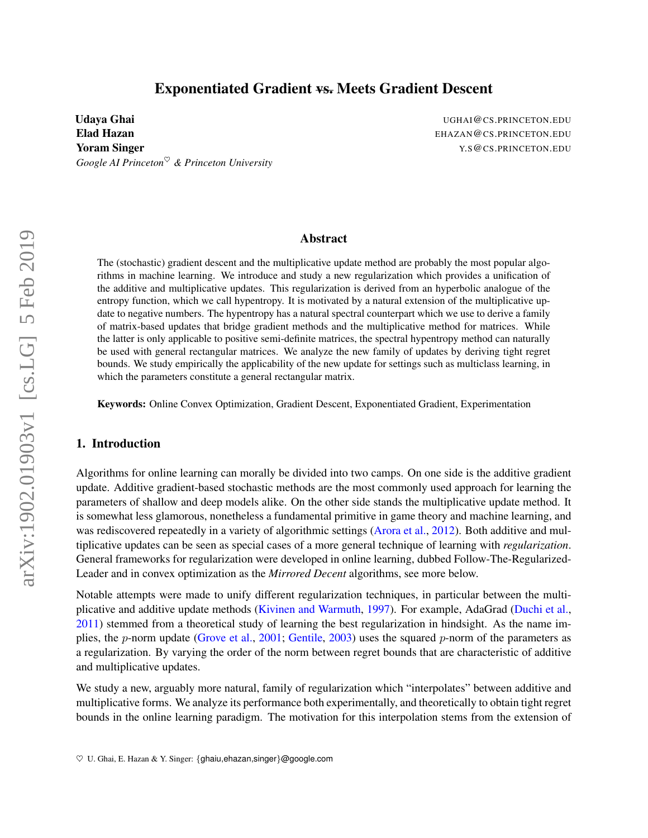# Exponentiated Gradient vs. Meets Gradient Descent

Udaya Ghai **Ughai Ughai Ughai Ughai Ughai Ughai Ughai** Ughai Ughai Ughai Ughai Ughai Ughai Ughai Ughai Ughai Ugh Elad Hazan EHAZAN@CS.PRINCETON.EDU **Yoram Singer Straushing Singer Straushing Straushing Straushing Straushing Straushing Straushing Straushing Straushing Straushing Straushing Straushing Straushing Straushing Straushing Straushing Straushing Straushing Str** *Google AI Princeton*♥ *& Princeton University*

### Abstract

The (stochastic) gradient descent and the multiplicative update method are probably the most popular algorithms in machine learning. We introduce and study a new regularization which provides a unification of the additive and multiplicative updates. This regularization is derived from an hyperbolic analogue of the entropy function, which we call hypentropy. It is motivated by a natural extension of the multiplicative update to negative numbers. The hypentropy has a natural spectral counterpart which we use to derive a family of matrix-based updates that bridge gradient methods and the multiplicative method for matrices. While the latter is only applicable to positive semi-definite matrices, the spectral hypentropy method can naturally be used with general rectangular matrices. We analyze the new family of updates by deriving tight regret bounds. We study empirically the applicability of the new update for settings such as multiclass learning, in which the parameters constitute a general rectangular matrix.

Keywords: Online Convex Optimization, Gradient Descent, Exponentiated Gradient, Experimentation

## 1. Introduction

Algorithms for online learning can morally be divided into two camps. On one side is the additive gradient update. Additive gradient-based stochastic methods are the most commonly used approach for learning the parameters of shallow and deep models alike. On the other side stands the multiplicative update method. It is somewhat less glamorous, nonetheless a fundamental primitive in game theory and machine learning, and was rediscovered repeatedly in a variety of algorithmic settings [\(Arora et al.,](#page-16-0) [2012\)](#page-16-0). Both additive and multiplicative updates can be seen as special cases of a more general technique of learning with *regularization*. General frameworks for regularization were developed in online learning, dubbed Follow-The-Regularized-Leader and in convex optimization as the *Mirrored Decent* algorithms, see more below.

Notable attempts were made to unify different regularization techniques, in particular between the multiplicative and additive update methods [\(Kivinen and Warmuth,](#page-16-1) [1997\)](#page-16-1). For example, AdaGrad [\(Duchi et al.,](#page-16-2) [2011\)](#page-16-2) stemmed from a theoretical study of learning the best regularization in hindsight. As the name im-plies, the p-norm update [\(Grove et al.,](#page-16-3) [2001;](#page-16-3) [Gentile,](#page-16-4) [2003\)](#page-16-4) uses the squared p-norm of the parameters as a regularization. By varying the order of the norm between regret bounds that are characteristic of additive and multiplicative updates.

We study a new, arguably more natural, family of regularization which "interpolates" between additive and multiplicative forms. We analyze its performance both experimentally, and theoretically to obtain tight regret bounds in the online learning paradigm. The motivation for this interpolation stems from the extension of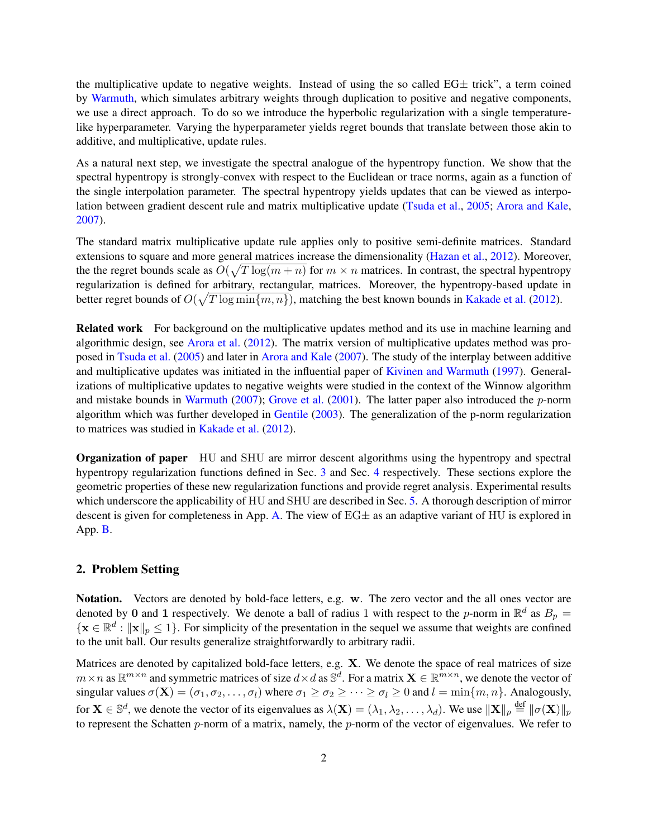the multiplicative update to negative weights. Instead of using the so called  $EG\pm$  trick", a term coined by [Warmuth,](#page-17-0) which simulates arbitrary weights through duplication to positive and negative components, we use a direct approach. To do so we introduce the hyperbolic regularization with a single temperaturelike hyperparameter. Varying the hyperparameter yields regret bounds that translate between those akin to additive, and multiplicative, update rules.

As a natural next step, we investigate the spectral analogue of the hypentropy function. We show that the spectral hypentropy is strongly-convex with respect to the Euclidean or trace norms, again as a function of the single interpolation parameter. The spectral hypentropy yields updates that can be viewed as interpolation between gradient descent rule and matrix multiplicative update [\(Tsuda et al.,](#page-17-1) [2005;](#page-17-1) [Arora and Kale,](#page-16-5) [2007\)](#page-16-5).

The standard matrix multiplicative update rule applies only to positive semi-definite matrices. Standard extensions to square and more general matrices increase the dimensionality [\(Hazan et al.,](#page-16-6) [2012\)](#page-16-6). Moreover, the the regret bounds scale as  $O(\sqrt{T \log(m+n)}$  for  $m \times n$  matrices. In contrast, the spectral hypentropy regularization is defined for arbitrary, rectangular, matrices. Moreover, the hypentropy-based update in better regret bounds of  $O(\sqrt{T \log \min\{m, n\}})$ , matching the best known bounds in [Kakade et al.](#page-16-7) [\(2012\)](#page-16-7).

Related work For background on the multiplicative updates method and its use in machine learning and algorithmic design, see [Arora et al.](#page-16-0) [\(2012\)](#page-16-0). The matrix version of multiplicative updates method was proposed in [Tsuda et al.](#page-17-1) [\(2005\)](#page-17-1) and later in [Arora and Kale](#page-16-5) [\(2007\)](#page-16-5). The study of the interplay between additive and multiplicative updates was initiated in the influential paper of [Kivinen and Warmuth](#page-16-1) [\(1997\)](#page-16-1). Generalizations of multiplicative updates to negative weights were studied in the context of the Winnow algorithm and mistake bounds in [Warmuth](#page-17-2) [\(2007\)](#page-17-2); [Grove et al.](#page-16-3) [\(2001\)](#page-16-3). The latter paper also introduced the  $p$ -norm algorithm which was further developed in [Gentile](#page-16-4) [\(2003\)](#page-16-4). The generalization of the p-norm regularization to matrices was studied in [Kakade et al.](#page-16-7) [\(2012\)](#page-16-7).

Organization of paper HU and SHU are mirror descent algorithms using the hypentropy and spectral hypentropy regularization functions defined in Sec. [3](#page-2-0) and Sec. [4](#page-6-0) respectively. These sections explore the geometric properties of these new regularization functions and provide regret analysis. Experimental results which underscore the applicability of HU and SHU are described in Sec. [5.](#page-12-0) A thorough description of mirror descent is given for completeness in App. [A.](#page-17-3) The view of  $EG\pm$  as an adaptive variant of HU is explored in App. [B.](#page-19-0)

## 2. Problem Setting

Notation. Vectors are denoted by bold-face letters, e.g. w. The zero vector and the all ones vector are denoted by 0 and 1 respectively. We denote a ball of radius 1 with respect to the p-norm in  $\mathbb{R}^d$  as  $B_p =$  $\{x \in \mathbb{R}^d : ||x||_p \leq 1\}$ . For simplicity of the presentation in the sequel we assume that weights are confined to the unit ball. Our results generalize straightforwardly to arbitrary radii.

Matrices are denoted by capitalized bold-face letters, e.g. X. We denote the space of real matrices of size  $m \times n$  as  $\mathbb{R}^{m \times n}$  and symmetric matrices of size  $d \times d$  as  $\mathbb{S}^d$ . For a matrix  $\mathbf{X} \in \mathbb{R}^{m \times n}$ , we denote the vector of singular values  $\sigma(\mathbf{X}) = (\sigma_1, \sigma_2, \dots, \sigma_l)$  where  $\sigma_1 \geq \sigma_2 \geq \dots \geq \sigma_l \geq 0$  and  $l = \min\{m, n\}$ . Analogously, for  $\mathbf{X} \in \mathbb{S}^d$ , we denote the vector of its eigenvalues as  $\lambda(\mathbf{X}) = (\lambda_1, \lambda_2, \dots, \lambda_d)$ . We use  $\|\mathbf{X}\|_p \stackrel{\text{def}}{=} \|\sigma(\mathbf{X})\|_p$ to represent the Schatten  $p$ -norm of a matrix, namely, the  $p$ -norm of the vector of eigenvalues. We refer to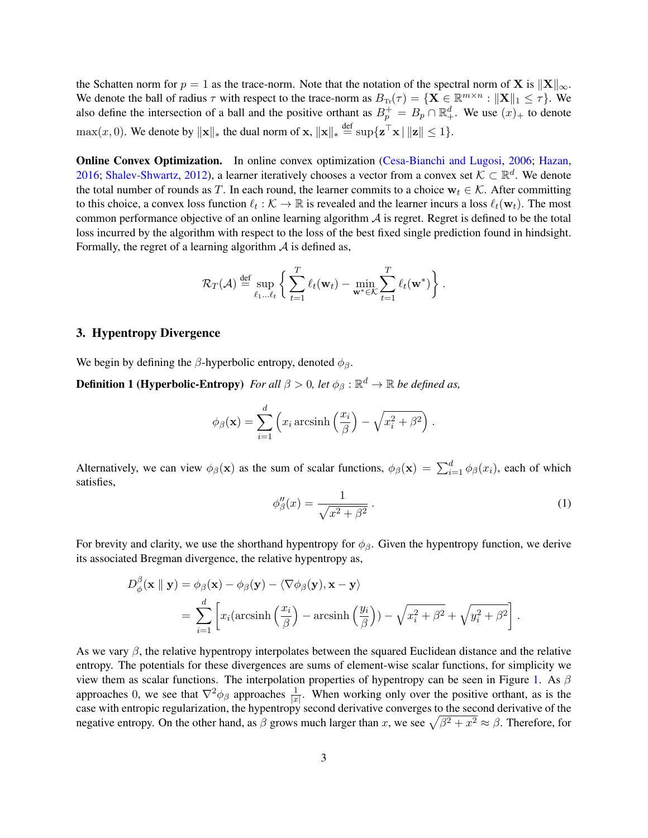the Schatten norm for  $p = 1$  as the trace-norm. Note that the notation of the spectral norm of **X** is  $\|\mathbf{X}\|_{\infty}$ . We denote the ball of radius  $\tau$  with respect to the trace-norm as  $B_{\text{Tr}}(\tau) = \{ \mathbf{X} \in \mathbb{R}^{m \times n} : ||\mathbf{X}||_1 \leq \tau \}$ . We also define the intersection of a ball and the positive orthant as  $B_p^+ = B_p \cap \mathbb{R}^d_+$ . We use  $(x)_+$  to denote  $\max(x, 0)$ . We denote by  $\|\mathbf{x}\|_*$  the dual norm of  $\mathbf{x}$ ,  $\|\mathbf{x}\|_* \stackrel{\text{def}}{=} \sup \{\mathbf{z}^\top \mathbf{x} \mid \|\mathbf{z}\| \leq 1\}$ .

Online Convex Optimization. In online convex optimization [\(Cesa-Bianchi and Lugosi,](#page-16-8) [2006;](#page-16-8) [Hazan,](#page-16-9) [2016;](#page-16-9) [Shalev-Shwartz,](#page-17-4) [2012\)](#page-17-4), a learner iteratively chooses a vector from a convex set  $K \subset \mathbb{R}^d$ . We denote the total number of rounds as T. In each round, the learner commits to a choice  $w_t \in K$ . After committing to this choice, a convex loss function  $\ell_t : \mathcal{K} \to \mathbb{R}$  is revealed and the learner incurs a loss  $\ell_t(\mathbf{w}_t)$ . The most common performance objective of an online learning algorithm  $A$  is regret. Regret is defined to be the total loss incurred by the algorithm with respect to the loss of the best fixed single prediction found in hindsight. Formally, the regret of a learning algorithm  $A$  is defined as,

$$
\mathcal{R}_T(\mathcal{A}) \stackrel{\text{def}}{=} \sup_{\ell_1 \dots \ell_t} \left\{ \sum_{t=1}^T \ell_t(\mathbf{w}_t) - \min_{\mathbf{w}^* \in \mathcal{K}} \sum_{t=1}^T \ell_t(\mathbf{w}^*) \right\}.
$$

#### <span id="page-2-0"></span>3. Hypentropy Divergence

We begin by defining the  $\beta$ -hyperbolic entropy, denoted  $\phi_{\beta}$ .

**Definition 1 (Hyperbolic-Entropy)** For all  $\beta > 0$ , let  $\phi_{\beta} : \mathbb{R}^d \to \mathbb{R}$  be defined as,

$$
\phi_{\beta}(\mathbf{x}) = \sum_{i=1}^{d} \left( x_i \operatorname{arcsinh}\left(\frac{x_i}{\beta}\right) - \sqrt{x_i^2 + \beta^2} \right).
$$

Alternatively, we can view  $\phi_\beta(\mathbf{x})$  as the sum of scalar functions,  $\phi_\beta(\mathbf{x}) = \sum_{i=1}^d \phi_\beta(x_i)$ , each of which satisfies,

<span id="page-2-1"></span>
$$
\phi_{\beta}^{\prime\prime}(x) = \frac{1}{\sqrt{x^2 + \beta^2}}.
$$
\n<sup>(1)</sup>

For brevity and clarity, we use the shorthand hypentropy for  $\phi_\beta$ . Given the hypentropy function, we derive its associated Bregman divergence, the relative hypentropy as,

$$
D^{\beta}_{\phi}(\mathbf{x} \parallel \mathbf{y}) = \phi_{\beta}(\mathbf{x}) - \phi_{\beta}(\mathbf{y}) - \langle \nabla \phi_{\beta}(\mathbf{y}), \mathbf{x} - \mathbf{y} \rangle
$$
  
= 
$$
\sum_{i=1}^{d} \left[ x_i (\text{arcsinh}\left(\frac{x_i}{\beta}\right) - \text{arcsinh}\left(\frac{y_i}{\beta}\right)) - \sqrt{x_i^2 + \beta^2} + \sqrt{y_i^2 + \beta^2} \right].
$$

As we vary  $\beta$ , the relative hypentropy interpolates between the squared Euclidean distance and the relative entropy. The potentials for these divergences are sums of element-wise scalar functions, for simplicity we view them as scalar functions. The interpolation properties of hypentropy can be seen in Figure [1.](#page-3-0) As  $\beta$ approaches 0, we see that  $\nabla^2 \phi_\beta$  approaches  $\frac{1}{|x|}$ . When working only over the positive orthant, as is the case with entropic regularization, the hypentropy second derivative converges to the second derivative of the negative entropy. On the other hand, as  $\beta$  grows much larger than x, we see  $\sqrt{\beta^2 + x^2} \approx \beta$ . Therefore, for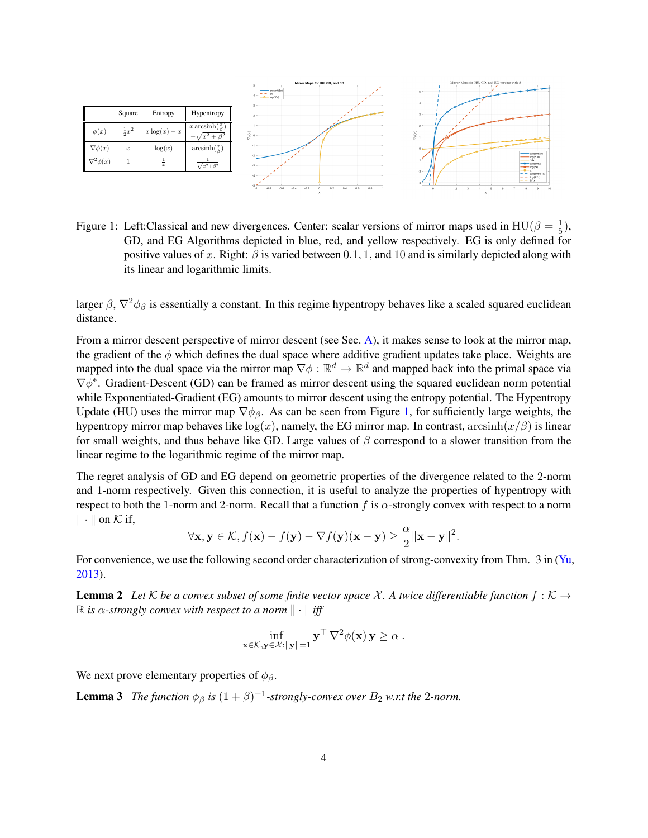

<span id="page-3-0"></span>Figure 1: Left:Classical and new divergences. Center: scalar versions of mirror maps used in HU( $\beta = \frac{1}{5}$  $(\frac{1}{5}),$ GD, and EG Algorithms depicted in blue, red, and yellow respectively. EG is only defined for positive values of x. Right:  $\beta$  is varied between 0.1, 1, and 10 and is similarly depicted along with its linear and logarithmic limits.

larger  $\beta$ ,  $\nabla^2 \phi_\beta$  is essentially a constant. In this regime hypentropy behaves like a scaled squared euclidean distance.

From a mirror descent perspective of mirror descent (see Sec. [A\)](#page-17-3), it makes sense to look at the mirror map, the gradient of the  $\phi$  which defines the dual space where additive gradient updates take place. Weights are mapped into the dual space via the mirror map  $\nabla \phi : \mathbb{R}^d \to \mathbb{R}^d$  and mapped back into the primal space via  $\nabla \phi^*$ . Gradient-Descent (GD) can be framed as mirror descent using the squared euclidean norm potential while Exponentiated-Gradient (EG) amounts to mirror descent using the entropy potential. The Hypentropy Update (HU) uses the mirror map  $\nabla \phi_{\beta}$ . As can be seen from Figure [1,](#page-3-0) for sufficiently large weights, the hypentropy mirror map behaves like  $log(x)$ , namely, the EG mirror map. In contrast, arcsinh $(x/\beta)$  is linear for small weights, and thus behave like GD. Large values of  $\beta$  correspond to a slower transition from the linear regime to the logarithmic regime of the mirror map.

The regret analysis of GD and EG depend on geometric properties of the divergence related to the 2-norm and 1-norm respectively. Given this connection, it is useful to analyze the properties of hypentropy with respect to both the 1-norm and 2-norm. Recall that a function f is  $\alpha$ -strongly convex with respect to a norm  $\|\cdot\|$  on K if,

$$
\forall \mathbf{x}, \mathbf{y} \in \mathcal{K}, f(\mathbf{x}) - f(\mathbf{y}) - \nabla f(\mathbf{y})(\mathbf{x} - \mathbf{y}) \ge \frac{\alpha}{2} ||\mathbf{x} - \mathbf{y}||^2.
$$

<span id="page-3-1"></span>For convenience, we use the following second order characterization of strong-convexity from Thm. 3 in [\(Yu,](#page-17-5) [2013\)](#page-17-5).

**Lemma 2** Let  $K$  be a convex subset of some finite vector space X. A twice differentiable function  $f: K \rightarrow$  $\mathbb{R}$  *is* α-strongly convex with respect to a norm  $\| \cdot \|$  iff

<span id="page-3-2"></span>
$$
\inf_{\mathbf{x}\in\mathcal{K},\mathbf{y}\in\mathcal{X}:||\mathbf{y}||=1}\mathbf{y}^{\top}\nabla^2\phi(\mathbf{x})\mathbf{y}\geq\alpha.
$$

We next prove elementary properties of  $\phi_{\beta}$ .

**Lemma 3** *The function*  $\phi_{\beta}$  *is*  $(1 + \beta)^{-1}$ -strongly-convex over  $B_2$  *w.r.t the* 2-norm.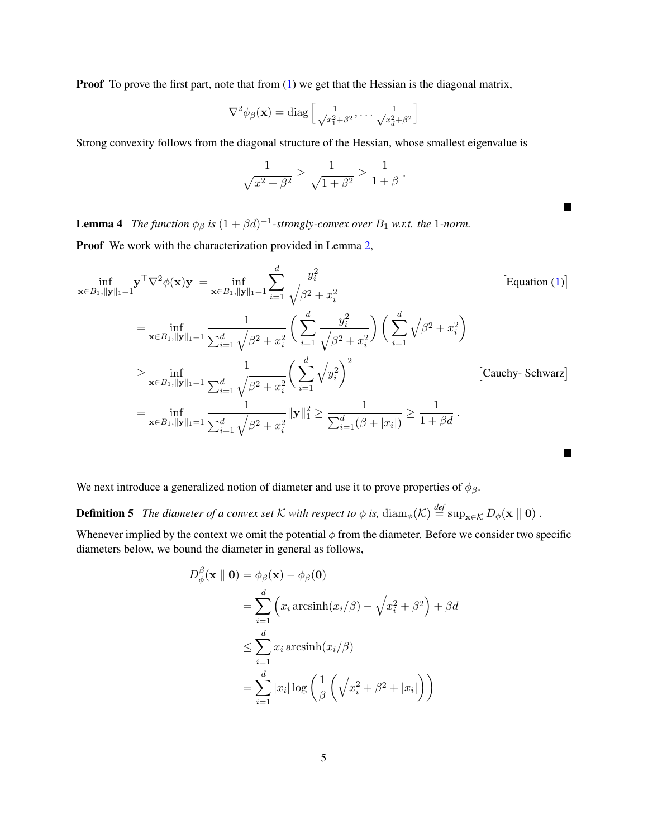**Proof** To prove the first part, note that from [\(1\)](#page-2-1) we get that the Hessian is the diagonal matrix,

$$
\nabla^2 \phi_{\beta}(\mathbf{x}) = \text{diag}\left[\frac{1}{\sqrt{x_1^2 + \beta^2}}, \dots, \frac{1}{\sqrt{x_d^2 + \beta^2}}\right]
$$

Strong convexity follows from the diagonal structure of the Hessian, whose smallest eigenvalue is

$$
\frac{1}{\sqrt{x^2 + \beta^2}} \ge \frac{1}{\sqrt{1 + \beta^2}} \ge \frac{1}{1 + \beta} \, .
$$

П

<span id="page-4-0"></span>**Lemma 4** The function  $\phi_{\beta}$  is  $(1 + \beta d)^{-1}$ -strongly-convex over  $B_1$  w.r.t. the 1-norm.

Proof We work with the characterization provided in Lemma [2,](#page-3-1)

$$
\inf_{\mathbf{x}\in B_1, \|\mathbf{y}\|_1=1} \mathbf{y}^\top \nabla^2 \phi(\mathbf{x}) \mathbf{y} = \inf_{\mathbf{x}\in B_1, \|\mathbf{y}\|_1=1} \sum_{i=1}^d \frac{y_i^2}{\sqrt{\beta^2 + x_i^2}} \qquad \text{[Equation (1)]}
$$
\n
$$
= \inf_{\mathbf{x}\in B_1, \|\mathbf{y}\|_1=1} \frac{1}{\sum_{i=1}^d \sqrt{\beta^2 + x_i^2}} \left( \sum_{i=1}^d \frac{y_i^2}{\sqrt{\beta^2 + x_i^2}} \right) \left( \sum_{i=1}^d \sqrt{\beta^2 + x_i^2} \right)
$$
\n
$$
\geq \inf_{\mathbf{x}\in B_1, \|\mathbf{y}\|_1=1} \frac{1}{\sum_{i=1}^d \sqrt{\beta^2 + x_i^2}} \left( \sum_{i=1}^d \sqrt{y_i^2} \right)^2 \qquad \text{[Cauchy-Schwarz]}
$$
\n
$$
= \inf_{\mathbf{x}\in B_1, \|\mathbf{y}\|_1=1} \frac{1}{\sum_{i=1}^d \sqrt{\beta^2 + x_i^2}} \|\mathbf{y}\|_1^2 \geq \frac{1}{\sum_{i=1}^d (\beta + |x_i|)} \geq \frac{1}{1+\beta d}.
$$

We next introduce a generalized notion of diameter and use it to prove properties of  $\phi_{\beta}$ .

**Definition 5** *The diameter of a convex set* K *with respect to*  $\phi$  *is*,  $\text{diam}_{\phi}(\mathcal{K}) \stackrel{\text{def}}{=} \text{sup}_{\mathbf{x} \in \mathcal{K}} D_{\phi}(\mathbf{x} \parallel \mathbf{0})$ .

Whenever implied by the context we omit the potential  $\phi$  from the diameter. Before we consider two specific diameters below, we bound the diameter in general as follows,

$$
D_{\phi}^{\beta}(\mathbf{x} \parallel \mathbf{0}) = \phi_{\beta}(\mathbf{x}) - \phi_{\beta}(\mathbf{0})
$$
  
= 
$$
\sum_{i=1}^{d} \left( x_i \operatorname{arcsinh}(x_i/\beta) - \sqrt{x_i^2 + \beta^2} \right) + \beta d
$$
  

$$
\leq \sum_{i=1}^{d} x_i \operatorname{arcsinh}(x_i/\beta)
$$
  
= 
$$
\sum_{i=1}^{d} |x_i| \log \left( \frac{1}{\beta} \left( \sqrt{x_i^2 + \beta^2} + |x_i| \right) \right)
$$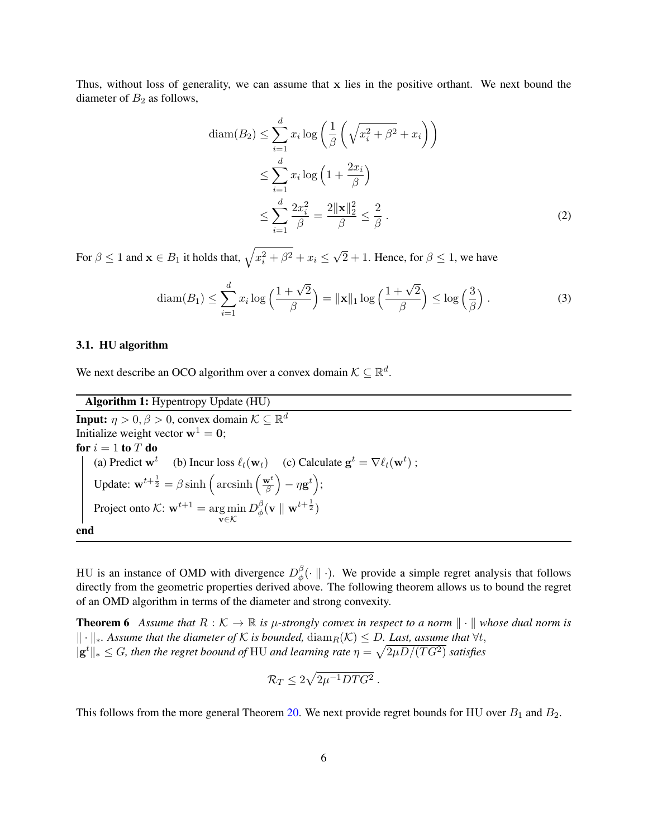Thus, without loss of generality, we can assume that x lies in the positive orthant. We next bound the diameter of  $B_2$  as follows,

<span id="page-5-2"></span><span id="page-5-0"></span>
$$
\text{diam}(B_2) \le \sum_{i=1}^d x_i \log \left( \frac{1}{\beta} \left( \sqrt{x_i^2 + \beta^2} + x_i \right) \right)
$$
  

$$
\le \sum_{i=1}^d x_i \log \left( 1 + \frac{2x_i}{\beta} \right)
$$
  

$$
\le \sum_{i=1}^d \frac{2x_i^2}{\beta} = \frac{2 \|\mathbf{x}\|_2^2}{\beta} \le \frac{2}{\beta} .
$$
 (2)

For  $\beta \leq 1$  and  $\mathbf{x} \in B_1$  it holds that,  $\sqrt{x_i^2 + \beta^2} + x_i \leq$ √  $2 + 1$ . Hence, for  $\beta \leq 1$ , we have

<span id="page-5-3"></span>
$$
\operatorname{diam}(B_1) \le \sum_{i=1}^d x_i \log\left(\frac{1+\sqrt{2}}{\beta}\right) = \|\mathbf{x}\|_1 \log\left(\frac{1+\sqrt{2}}{\beta}\right) \le \log\left(\frac{3}{\beta}\right). \tag{3}
$$

#### 3.1. HU algorithm

We next describe an OCO algorithm over a convex domain  $K \subseteq \mathbb{R}^d$ .

Algorithm 1: Hypentropy Update (HU)

**Input:**  $\eta > 0, \beta > 0$ , convex domain  $\mathcal{K} \subseteq \mathbb{R}^d$ Initialize weight vector  $w^1 = 0$ ; for  $i = 1$  to  $T$  do (a) Predict  $\mathbf{w}^t$  (b) Incur loss  $\ell_t(\mathbf{w}_t)$  (c) Calculate  $\mathbf{g}^t = \nabla \ell_t(\mathbf{w}^t)$ ; Update:  $\mathbf{w}^{t+\frac{1}{2}} = \beta \sinh \left( \arcsin \frac{\mathbf{w}^t}{\beta} \right)$  $\frac{\mathbf{v}^t}{\beta} \Big) - \eta \mathbf{g}^t \Big);$ Project onto  $\mathcal{K}: \mathbf{w}^{t+1} = \arg \min$ v∈K  $D_{\phi}^{\beta}$  $_\phi^\beta(\mathbf{v}\parallel\mathbf{w}^{t+\frac{1}{2}})$ end

HU is an instance of OMD with divergence  $D_{\phi}^{\beta}$  $\phi^{\circ}_{\phi}(\cdot \parallel \cdot)$ . We provide a simple regret analysis that follows directly from the geometric properties derived above. The following theorem allows us to bound the regret of an OMD algorithm in terms of the diameter and strong convexity.

<span id="page-5-1"></span>**Theorem 6** Assume that  $R : \mathcal{K} \to \mathbb{R}$  is  $\mu$ -strongly convex in respect to a norm  $\|\cdot\|$  whose dual norm is  $\|\cdot\|_*$ *. Assume that the diameter of* K *is bounded*,  $\text{diam}_R(\mathcal{K}) \leq D$ *. Last, assume that*  $\forall t$ ,  $\|\mathbf{g}^t\|_* \leq G$ , then the regret boound of HU and learning rate  $\eta = \sqrt{2\mu D/(TG^2)}$  satisfies

$$
\mathcal{R}_T \leq 2\sqrt{2\mu^{-1}DTG^2} \ .
$$

This follows from the more general Theorem [20.](#page-17-6) We next provide regret bounds for HU over  $B_1$  and  $B_2$ .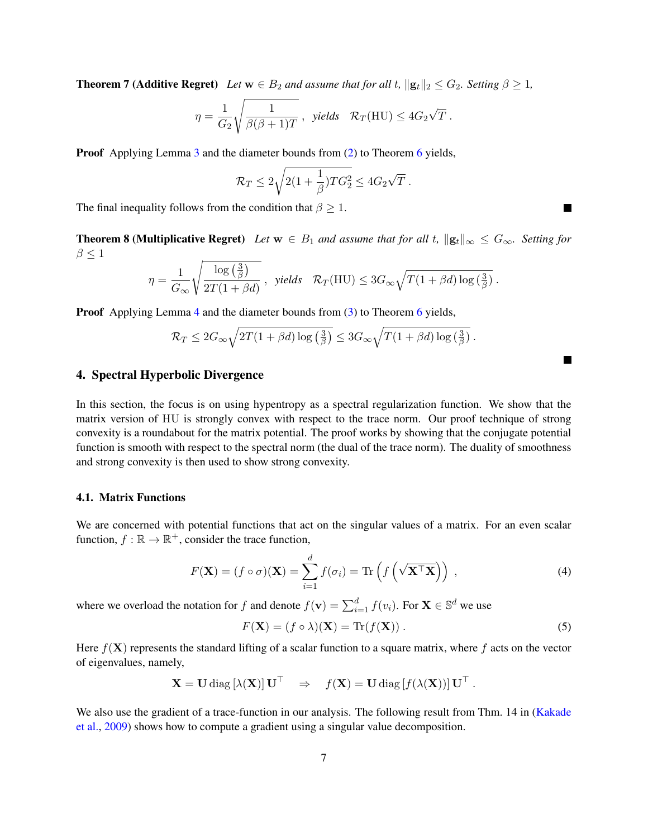**Theorem 7 (Additive Regret)** *Let*  $w \in B_2$  *and assume that for all t,*  $||\mathbf{g}_t||_2 \leq G_2$ *. Setting*  $\beta \geq 1$ *,* 

$$
\eta = \frac{1}{G_2} \sqrt{\frac{1}{\beta(\beta+1)T}}, \text{ yields } \mathcal{R}_T(\text{HU}) \le 4G_2\sqrt{T}.
$$

**Proof** Applying Lemma [3](#page-3-2) and the diameter bounds from [\(2\)](#page-5-0) to Theorem [6](#page-5-1) yields,

$$
\mathcal{R}_T \le 2\sqrt{2(1+\frac{1}{\beta})TG_2^2} \le 4G_2\sqrt{T}.
$$

The final inequality follows from the condition that  $\beta \geq 1$ .

**Theorem 8 (Multiplicative Regret)** *Let*  $w \in B_1$  *and assume that for all t,*  $||g_t||_{\infty} \leq G_{\infty}$ *. Setting for*  $\beta \leq 1$ 

$$
\eta = \frac{1}{G_{\infty}} \sqrt{\frac{\log\left(\frac{3}{\beta}\right)}{2T(1+\beta d)}} \,, \text{ yields } \mathcal{R}_T(\text{HU}) \leq 3G_{\infty} \sqrt{T(1+\beta d)\log\left(\frac{3}{\beta}\right)} \,.
$$

**Proof** Applying Lemma [4](#page-4-0) and the diameter bounds from [\(3\)](#page-5-2) to Theorem [6](#page-5-1) yields,

$$
\mathcal{R}_T \le 2G_{\infty} \sqrt{2T(1+\beta d)\log\left(\frac{3}{\beta}\right)} \le 3G_{\infty} \sqrt{T(1+\beta d)\log\left(\frac{3}{\beta}\right)}.
$$

#### <span id="page-6-0"></span>4. Spectral Hyperbolic Divergence

In this section, the focus is on using hypentropy as a spectral regularization function. We show that the matrix version of HU is strongly convex with respect to the trace norm. Our proof technique of strong convexity is a roundabout for the matrix potential. The proof works by showing that the conjugate potential function is smooth with respect to the spectral norm (the dual of the trace norm). The duality of smoothness and strong convexity is then used to show strong convexity.

#### 4.1. Matrix Functions

We are concerned with potential functions that act on the singular values of a matrix. For an even scalar function,  $f : \mathbb{R} \to \mathbb{R}^+$ , consider the trace function,

$$
F(\mathbf{X}) = (f \circ \sigma)(\mathbf{X}) = \sum_{i=1}^{d} f(\sigma_i) = \text{Tr}\left(f\left(\sqrt{\mathbf{X}^{\top}\mathbf{X}}\right)\right),\tag{4}
$$

where we overload the notation for f and denote  $f(\mathbf{v}) = \sum_{i=1}^{d} f(v_i)$ . For  $\mathbf{X} \in \mathbb{S}^d$  we use

$$
F(\mathbf{X}) = (f \circ \lambda)(\mathbf{X}) = \text{Tr}(f(\mathbf{X})).
$$
\n(5)

Here  $f(X)$  represents the standard lifting of a scalar function to a square matrix, where f acts on the vector of eigenvalues, namely,

$$
\mathbf{X} = \mathbf{U} \operatorname{diag} [\lambda(\mathbf{X})] \mathbf{U}^\top \Rightarrow f(\mathbf{X}) = \mathbf{U} \operatorname{diag} [f(\lambda(\mathbf{X}))] \mathbf{U}^\top.
$$

We also use the gradient of a trace-function in our analysis. The following result from Thm. 14 in [\(Kakade](#page-16-10) [et al.,](#page-16-10) [2009\)](#page-16-10) shows how to compute a gradient using a singular value decomposition.

П

<span id="page-6-2"></span><span id="page-6-1"></span>П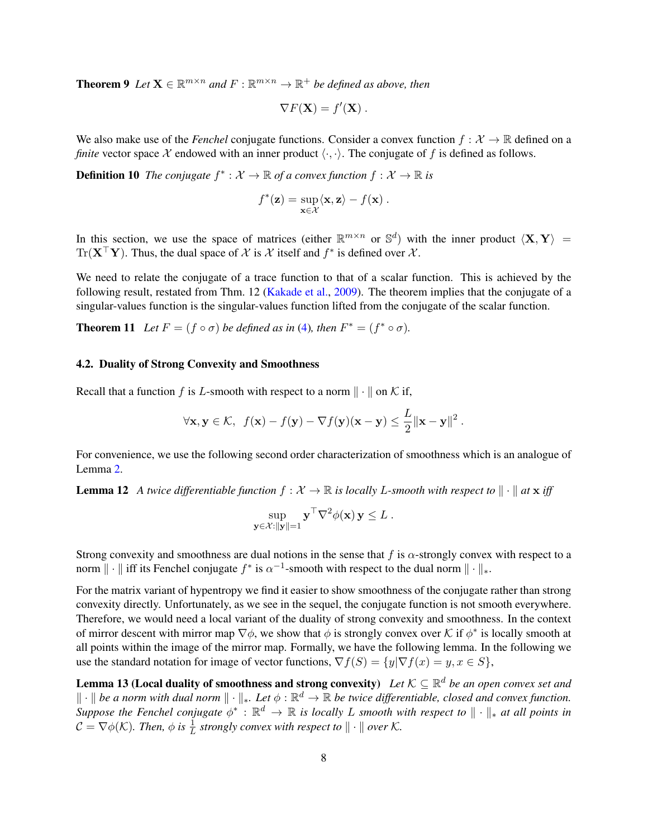**Theorem 9** Let  $X \in \mathbb{R}^{m \times n}$  and  $F : \mathbb{R}^{m \times n} \to \mathbb{R}^+$  be defined as above, then

$$
\nabla F(\mathbf{X}) = f'(\mathbf{X}).
$$

We also make use of the *Fenchel* conjugate functions. Consider a convex function  $f: \mathcal{X} \to \mathbb{R}$  defined on a *finite* vector space X endowed with an inner product  $\langle \cdot, \cdot \rangle$ . The conjugate of f is defined as follows.

**Definition 10** The conjugate  $f^* : \mathcal{X} \to \mathbb{R}$  of a convex function  $f : \mathcal{X} \to \mathbb{R}$  is

<span id="page-7-1"></span>
$$
f^*(\mathbf{z}) = \sup_{\mathbf{x} \in \mathcal{X}} \langle \mathbf{x}, \mathbf{z} \rangle - f(\mathbf{x}).
$$

In this section, we use the space of matrices (either  $\mathbb{R}^{m \times n}$  or  $\mathbb{S}^d$ ) with the inner product  $\langle \mathbf{X}, \mathbf{Y} \rangle$  =  $\text{Tr}(\mathbf{X}^{\top}\mathbf{Y})$ . Thus, the dual space of X is X itself and  $f^*$  is defined over X.

We need to relate the conjugate of a trace function to that of a scalar function. This is achieved by the following result, restated from Thm. 12 [\(Kakade et al.,](#page-16-10) [2009\)](#page-16-10). The theorem implies that the conjugate of a singular-values function is the singular-values function lifted from the conjugate of the scalar function.

**Theorem 11** *Let*  $F = (f \circ \sigma)$  *be defined as in* [\(4\)](#page-6-1)*, then*  $F^* = (f^* \circ \sigma)$ *.* 

### 4.2. Duality of Strong Convexity and Smoothness

Recall that a function f is L-smooth with respect to a norm  $\|\cdot\|$  on K if,

$$
\forall \mathbf{x}, \mathbf{y} \in \mathcal{K}, \ f(\mathbf{x}) - f(\mathbf{y}) - \nabla f(\mathbf{y})(\mathbf{x} - \mathbf{y}) \leq \frac{L}{2} ||\mathbf{x} - \mathbf{y}||^2.
$$

<span id="page-7-2"></span>For convenience, we use the following second order characterization of smoothness which is an analogue of Lemma [2.](#page-3-1)

**Lemma 12** A twice differentiable function  $f : \mathcal{X} \to \mathbb{R}$  is locally L-smooth with respect to  $\|\cdot\|$  at  $\bf{x}$  iff

$$
\sup_{\mathbf{y}\in\mathcal{X}:||\mathbf{y}||=1}\mathbf{y}^\top\nabla^2\phi(\mathbf{x})\mathbf{y}\leq L.
$$

Strong convexity and smoothness are dual notions in the sense that f is  $\alpha$ -strongly convex with respect to a norm  $\|\cdot\|$  iff its Fenchel conjugate  $f^*$  is  $\alpha^{-1}$ -smooth with respect to the dual norm  $\|\cdot\|_*$ .

For the matrix variant of hypentropy we find it easier to show smoothness of the conjugate rather than strong convexity directly. Unfortunately, as we see in the sequel, the conjugate function is not smooth everywhere. Therefore, we would need a local variant of the duality of strong convexity and smoothness. In the context of mirror descent with mirror map  $\nabla \phi$ , we show that  $\phi$  is strongly convex over K if  $\phi^*$  is locally smooth at all points within the image of the mirror map. Formally, we have the following lemma. In the following we use the standard notation for image of vector functions,  $\nabla f(S) = \{y | \nabla f(x) = y, x \in S\},\$ 

<span id="page-7-0"></span>**Lemma 13 (Local duality of smoothness and strong convexity)** Let  $\mathcal{K} \subseteq \mathbb{R}^d$  be an open convex set and  $\|\cdot\|$  be a norm with dual norm  $\|\cdot\|_*$ . Let  $\phi:\mathbb{R}^d\to\mathbb{R}$  be twice differentiable, closed and convex function. *Suppose the Fenchel conjugate*  $\phi^*: \mathbb{R}^d \to \mathbb{R}$  *is locally* L *smooth with respect to*  $\|\cdot\|_*$  *at all points in*  $\mathcal{C} = \nabla \phi(\mathcal{K})$ . Then,  $\phi$  is  $\frac{1}{L}$  strongly convex with respect to  $\|\cdot\|$  over  $\mathcal{K}$ .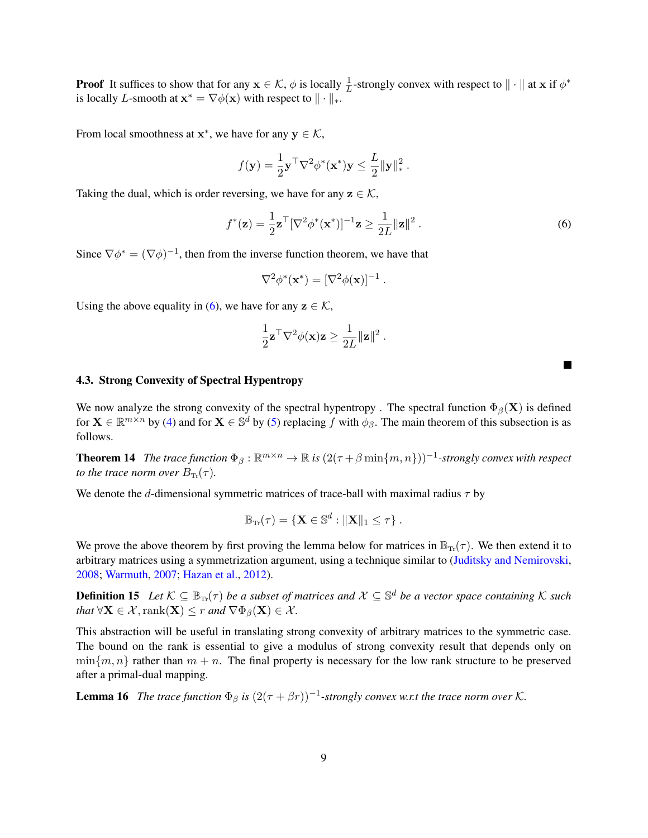**Proof** It suffices to show that for any  $x \in \mathcal{K}$ ,  $\phi$  is locally  $\frac{1}{L}$ -strongly convex with respect to  $\|\cdot\|$  at x if  $\phi^*$ is locally L-smooth at  $\mathbf{x}^* = \nabla \phi(\mathbf{x})$  with respect to  $\|\cdot\|_*$ .

From local smoothness at  $x^*$ , we have for any  $y \in \mathcal{K}$ ,

$$
f(\mathbf{y}) = \frac{1}{2} \mathbf{y}^\top \nabla^2 \phi^*(\mathbf{x}^*) \mathbf{y} \le \frac{L}{2} {\Vert \mathbf{y} \Vert}_*^2.
$$

Taking the dual, which is order reversing, we have for any  $z \in \mathcal{K}$ ,

<span id="page-8-0"></span>
$$
f^*(\mathbf{z}) = \frac{1}{2}\mathbf{z}^\top [\nabla^2 \phi^*(\mathbf{x}^*)]^{-1} \mathbf{z} \ge \frac{1}{2L} ||\mathbf{z}||^2.
$$
 (6)

П

Since  $\nabla \phi^* = (\nabla \phi)^{-1}$ , then from the inverse function theorem, we have that

$$
\nabla^2 \phi^*(\mathbf{x}^*) = [\nabla^2 \phi(\mathbf{x})]^{-1}.
$$

Using the above equality in [\(6\)](#page-8-0), we have for any  $z \in \mathcal{K}$ ,

$$
\frac{1}{2} \mathbf{z}^\top \nabla^2 \phi(\mathbf{x}) \mathbf{z} \ge \frac{1}{2L} ||\mathbf{z}||^2.
$$

#### 4.3. Strong Convexity of Spectral Hypentropy

<span id="page-8-2"></span>We now analyze the strong convexity of the spectral hypentropy. The spectral function  $\Phi_{\beta}(\mathbf{X})$  is defined for  $X \in \mathbb{R}^{m \times n}$  by [\(4\)](#page-6-1) and for  $X \in \mathbb{S}^d$  by [\(5\)](#page-6-2) replacing f with  $\phi_\beta$ . The main theorem of this subsection is as follows.

**Theorem 14** The trace function  $\Phi_{\beta}: \mathbb{R}^{m \times n} \to \mathbb{R}$  is  $(2(\tau + \beta \min\{m, n\}))^{-1}$ -strongly convex with respect *to the trace norm over*  $B_{\text{Tr}}(\tau)$ *.* 

We denote the d-dimensional symmetric matrices of trace-ball with maximal radius  $\tau$  by

$$
\mathbb{B}_{\operatorname{Tr}}(\tau)=\{\mathbf{X}\in\mathbb{S}^d:\|\mathbf{X}\|_1\leq\tau\}\ .
$$

We prove the above theorem by first proving the lemma below for matrices in  $\mathbb{B}_{T_r}(\tau)$ . We then extend it to arbitrary matrices using a symmetrization argument, using a technique similar to [\(Juditsky and Nemirovski,](#page-16-11) [2008;](#page-16-11) [Warmuth,](#page-17-2) [2007;](#page-17-2) [Hazan et al.,](#page-16-6) [2012\)](#page-16-6).

<span id="page-8-1"></span>**Definition 15** Let  $K \subseteq \mathbb{B}_{\text{Tr}}(\tau)$  be a subset of matrices and  $\mathcal{X} \subseteq \mathbb{S}^d$  be a vector space containing K such *that*  $\forall X \in \mathcal{X}$ ,  $\text{rank}(X) \leq r$  *and*  $\nabla \Phi_{\beta}(X) \in \mathcal{X}$ *.* 

This abstraction will be useful in translating strong convexity of arbitrary matrices to the symmetric case. The bound on the rank is essential to give a modulus of strong convexity result that depends only on  $\min\{m, n\}$  rather than  $m + n$ . The final property is necessary for the low rank structure to be preserved after a primal-dual mapping.

<span id="page-8-3"></span>**Lemma 16** The trace function  $\Phi_{\beta}$  is  $(2(\tau + \beta r))^{-1}$ -strongly convex w.r.t the trace norm over K.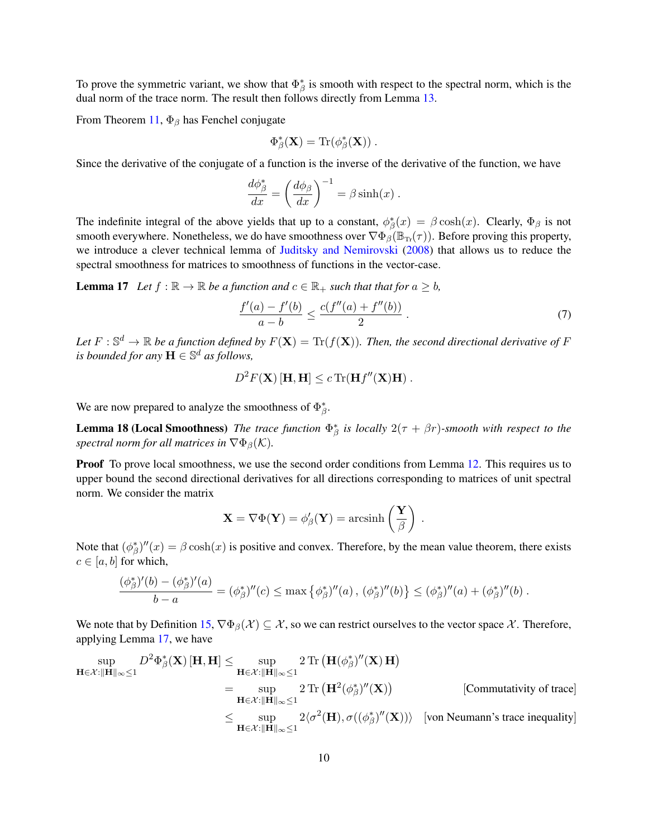To prove the symmetric variant, we show that  $\Phi_{\beta}^*$  is smooth with respect to the spectral norm, which is the dual norm of the trace norm. The result then follows directly from Lemma [13.](#page-7-0)

From Theorem [11,](#page-7-1)  $\Phi_{\beta}$  has Fenchel conjugate

$$
\Phi_{\beta}^*(\mathbf{X}) = \text{Tr}(\phi_{\beta}^*(\mathbf{X})).
$$

Since the derivative of the conjugate of a function is the inverse of the derivative of the function, we have

$$
\frac{d\phi_{\beta}^{*}}{dx} = \left(\frac{d\phi_{\beta}}{dx}\right)^{-1} = \beta \sinh(x) .
$$

The indefinite integral of the above yields that up to a constant,  $\phi^*_{\beta}(x) = \beta \cosh(x)$ . Clearly,  $\Phi_{\beta}$  is not smooth everywhere. Nonetheless, we do have smoothness over  $\nabla \Phi_{\beta}(\mathbb{B}_{Tr}(\tau))$ . Before proving this property, we introduce a clever technical lemma of [Juditsky and Nemirovski](#page-16-11) [\(2008\)](#page-16-11) that allows us to reduce the spectral smoothness for matrices to smoothness of functions in the vector-case.

**Lemma 17** *Let*  $f : \mathbb{R} \to \mathbb{R}$  *be a function and*  $c \in \mathbb{R}_+$  *such that that for*  $a \geq b$ *,* 

<span id="page-9-0"></span>
$$
\frac{f'(a) - f'(b)}{a - b} \le \frac{c(f''(a) + f''(b))}{2} \tag{7}
$$

Let  $F: \mathbb{S}^d \to \mathbb{R}$  be a function defined by  $F(\mathbf{X}) = \text{Tr}(f(\mathbf{X}))$ . Then, the second directional derivative of F *is bounded for any*  $\mathbf{H} \in \mathbb{S}^d$  *as follows,* 

$$
D^2F(\mathbf{X})[\mathbf{H},\mathbf{H}] \le c \operatorname{Tr}(\mathbf{H}f''(\mathbf{X})\mathbf{H}).
$$

We are now prepared to analyze the smoothness of  $\Phi_{\beta}^*$ .

**Lemma 18 (Local Smoothness)** *The trace function*  $\Phi_{\beta}^*$  *is locally*  $2(\tau + \beta r)$ *-smooth with respect to the spectral norm for all matrices in*  $\nabla \Phi_{\beta}(\mathcal{K})$ .

**Proof** To prove local smoothness, we use the second order conditions from Lemma [12.](#page-7-2) This requires us to upper bound the second directional derivatives for all directions corresponding to matrices of unit spectral norm. We consider the matrix

$$
\mathbf{X} = \nabla \Phi(\mathbf{Y}) = \phi'_{\beta}(\mathbf{Y}) = \operatorname{arcsinh}\left(\frac{\mathbf{Y}}{\beta}\right) .
$$

Note that  $(\phi^*_{\beta})''(x) = \beta \cosh(x)$  is positive and convex. Therefore, by the mean value theorem, there exists  $c \in [a, b]$  for which,

$$
\frac{(\phi_{\beta}^*)'(b) - (\phi_{\beta}^*)'(a)}{b - a} = (\phi_{\beta}^*)''(c) \le \max\left\{\phi_{\beta}^*\right)''(a), \, (\phi_{\beta}^*)''(b) \} \le (\phi_{\beta}^*)''(a) + (\phi_{\beta}^*)''(b).
$$

We note that by Definition [15,](#page-8-1)  $\nabla \Phi_{\beta}(\mathcal{X}) \subseteq \mathcal{X}$ , so we can restrict ourselves to the vector space  $\mathcal{X}$ . Therefore, applying Lemma [17,](#page-9-0) we have

$$
\sup_{\mathbf{H}\in\mathcal{X}:||\mathbf{H}||_{\infty}\leq 1} D^2\Phi_{\beta}^*(\mathbf{X})\left[\mathbf{H},\mathbf{H}\right] \leq \sup_{\mathbf{H}\in\mathcal{X}:||\mathbf{H}||_{\infty}\leq 1} 2 \operatorname{Tr}\left(\mathbf{H}(\phi_{\beta}^*)''(\mathbf{X})\mathbf{H}\right)
$$
\n
$$
= \sup_{\mathbf{H}\in\mathcal{X}:||\mathbf{H}||_{\infty}\leq 1} 2 \operatorname{Tr}\left(\mathbf{H}^2(\phi_{\beta}^*)''(\mathbf{X})\right) \qquad \qquad \text{[Commutativity of trace]}
$$
\n
$$
\leq \sup_{\mathbf{H}\in\mathcal{X}:||\mathbf{H}||_{\infty}\leq 1} 2\langle\sigma^2(\mathbf{H}), \sigma((\phi_{\beta}^*)''(\mathbf{X}))\rangle \qquad \text{[von Neumann's trace inequality]}
$$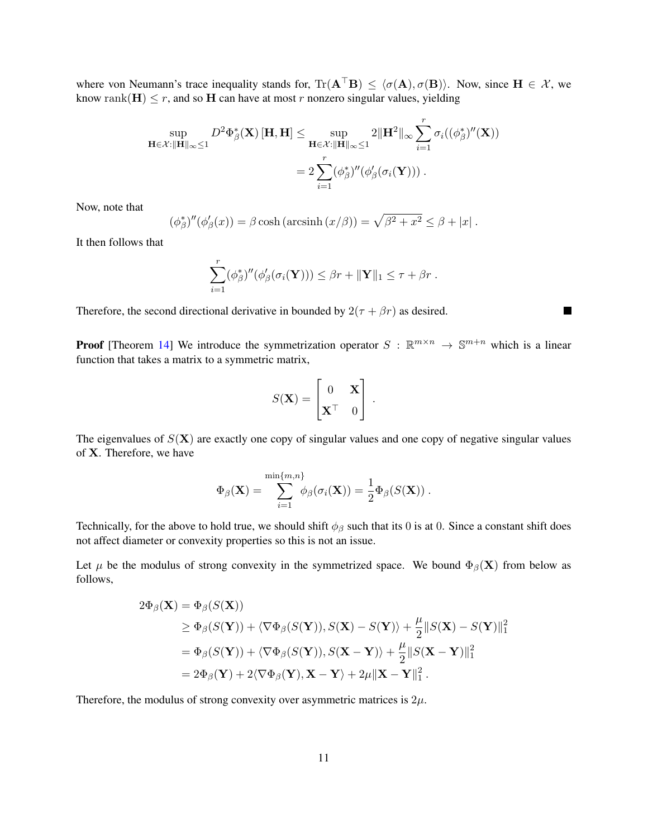where von Neumann's trace inequality stands for,  $\text{Tr}(\mathbf{A}^T \mathbf{B}) \leq \langle \sigma(\mathbf{A}), \sigma(\mathbf{B}) \rangle$ . Now, since  $\mathbf{H} \in \mathcal{X}$ , we know rank( $H$ )  $\leq r$ , and so H can have at most r nonzero singular values, yielding

$$
\sup_{\mathbf{H}\in\mathcal{X}:\|\mathbf{H}\|_{\infty}\leq 1} D^2\Phi_{\beta}^*(\mathbf{X})\left[\mathbf{H},\mathbf{H}\right] \leq \sup_{\mathbf{H}\in\mathcal{X}:\|\mathbf{H}\|_{\infty}\leq 1} 2\|\mathbf{H}^2\|_{\infty} \sum_{i=1}^r \sigma_i((\phi_{\beta}^*)''(\mathbf{X}))
$$

$$
= 2\sum_{i=1}^r (\phi_{\beta}^*)''(\phi_{\beta}'(\sigma_i(\mathbf{Y}))).
$$

Now, note that

$$
(\phi_{\beta}^*)''(\phi_{\beta}'(x)) = \beta \cosh(\arcsinh(x/\beta)) = \sqrt{\beta^2 + x^2} \le \beta + |x|.
$$

It then follows that

$$
\sum_{i=1}^r (\phi_{\beta}^*)''(\phi_{\beta}'(\sigma_i(\mathbf{Y}))) \leq \beta r + ||\mathbf{Y}||_1 \leq \tau + \beta r.
$$

 $\blacksquare$ 

Therefore, the second directional derivative in bounded by  $2(\tau + \beta r)$  as desired.

**Proof** [Theorem [14\]](#page-8-2) We introduce the symmetrization operator  $S : \mathbb{R}^{m \times n} \to \mathbb{S}^{m+n}$  which is a linear function that takes a matrix to a symmetric matrix,

$$
S(\mathbf{X}) = \begin{bmatrix} 0 & \mathbf{X} \\ \mathbf{X}^{\top} & 0 \end{bmatrix}.
$$

The eigenvalues of  $S(X)$  are exactly one copy of singular values and one copy of negative singular values of X. Therefore, we have

$$
\Phi_{\beta}(\mathbf{X}) = \sum_{i=1}^{\min\{m,n\}} \phi_{\beta}(\sigma_i(\mathbf{X})) = \frac{1}{2} \Phi_{\beta}(S(\mathbf{X})).
$$

Technically, for the above to hold true, we should shift  $\phi_\beta$  such that its 0 is at 0. Since a constant shift does not affect diameter or convexity properties so this is not an issue.

Let  $\mu$  be the modulus of strong convexity in the symmetrized space. We bound  $\Phi_{\beta}(\mathbf{X})$  from below as follows,

$$
2\Phi_{\beta}(\mathbf{X}) = \Phi_{\beta}(S(\mathbf{X}))
$$
  
\n
$$
\geq \Phi_{\beta}(S(\mathbf{Y})) + \langle \nabla \Phi_{\beta}(S(\mathbf{Y})), S(\mathbf{X}) - S(\mathbf{Y}) \rangle + \frac{\mu}{2} ||S(\mathbf{X}) - S(\mathbf{Y})||_1^2
$$
  
\n
$$
= \Phi_{\beta}(S(\mathbf{Y})) + \langle \nabla \Phi_{\beta}(S(\mathbf{Y})), S(\mathbf{X} - \mathbf{Y}) \rangle + \frac{\mu}{2} ||S(\mathbf{X} - \mathbf{Y})||_1^2
$$
  
\n
$$
= 2\Phi_{\beta}(\mathbf{Y}) + 2\langle \nabla \Phi_{\beta}(\mathbf{Y}), \mathbf{X} - \mathbf{Y} \rangle + 2\mu ||\mathbf{X} - \mathbf{Y}||_1^2.
$$

Therefore, the modulus of strong convexity over asymmetric matrices is  $2\mu$ .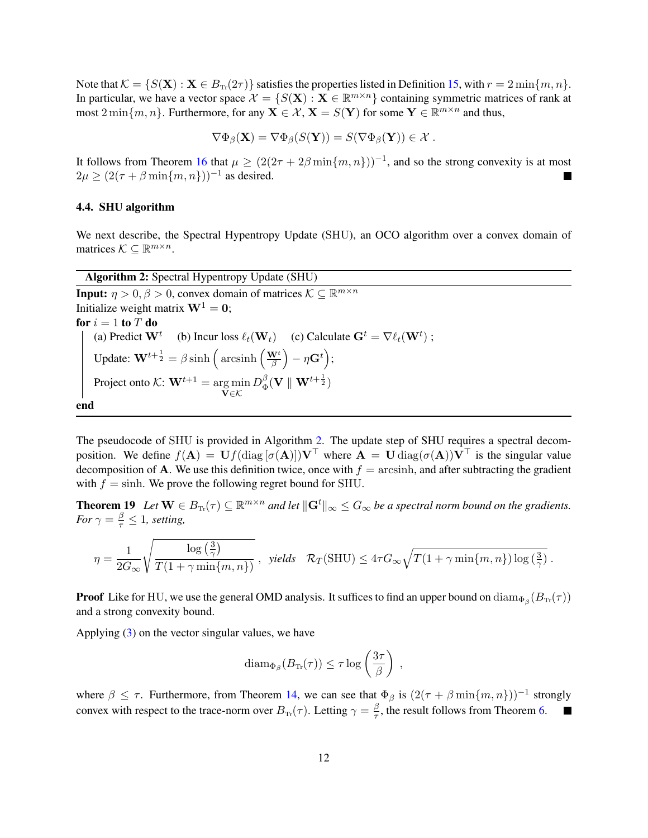Note that  $\mathcal{K} = \{S(\mathbf{X}) : \mathbf{X} \in B_{\text{Tr}}(2\tau)\}\$  satisfies the properties listed in Definition [15,](#page-8-1) with  $r = 2 \min\{m, n\}$ . In particular, we have a vector space  $\mathcal{X} = \{S(\mathbf{X}) : \mathbf{X} \in \mathbb{R}^{m \times n}\}\)$  containing symmetric matrices of rank at most  $2 \min\{m, n\}$ . Furthermore, for any  $\mathbf{X} \in \mathcal{X}, \mathbf{X} = S(\mathbf{Y})$  for some  $\mathbf{Y} \in \mathbb{R}^{m \times n}$  and thus,

$$
\nabla \Phi_{\beta}(\mathbf{X}) = \nabla \Phi_{\beta}(S(\mathbf{Y})) = S(\nabla \Phi_{\beta}(\mathbf{Y})) \in \mathcal{X} .
$$

It follows from Theorem [16](#page-8-3) that  $\mu \geq (2(2\tau + 2\beta \min\{m, n\}))^{-1}$ , and so the strong convexity is at most  $2\mu \geq (2(\tau + \beta \min\{m, n\}))^{-1}$  as desired.  $\blacksquare$ 

### 4.4. SHU algorithm

We next describe, the Spectral Hypentropy Update (SHU), an OCO algorithm over a convex domain of matrices  $K \subseteq \mathbb{R}^{m \times n}$ .

<span id="page-11-0"></span>Algorithm 2: Spectral Hypentropy Update (SHU) **Input:**  $\eta > 0, \beta > 0$ , convex domain of matrices  $\mathcal{K} \subseteq \mathbb{R}^{m \times n}$ Initialize weight matrix  $W^1 = 0$ ; for  $i = 1$  to  $T$  do (a) Predict  $\mathbf{W}^t$  (b) Incur loss  $\ell_t(\mathbf{W}_t)$  (c) Calculate  $\mathbf{G}^t = \nabla \ell_t(\mathbf{W}^t)$ ; Update:  $\mathbf{W}^{t+\frac{1}{2}} = \beta \sinh \left( \operatorname{arcsinh} \left( \frac{\mathbf{W}^t}{\beta} \right) \right)$  $\frac{\mathbf{V}^t}{\beta}\Big) - \eta \mathbf{G}^t \Big);$ Project onto  $\mathcal{K}: \mathbf{W}^{t+1} = \arg \min$  $\mathbf{v}$ ∈ $\mathcal{K}$  $D_{\Phi}^{\beta}$  $_\Phi^\beta(\mathbf{V}\parallel \mathbf{W}^{t+\frac{1}{2}})$ end

The pseudocode of SHU is provided in Algorithm [2.](#page-11-0) The update step of SHU requires a spectral decomposition. We define  $f(A) = Uf(\text{diag}[\sigma(A)])V^{\top}$  where  $A = U \text{diag}(\sigma(A))V^{\top}$  is the singular value decomposition of A. We use this definition twice, once with  $f = \arcsinh$ , and after subtracting the gradient with  $f = \sinh$ . We prove the following regret bound for SHU.

**Theorem 19** Let  $\mathbf{W} \in B_{\text{Tr}}(\tau) \subseteq \mathbb{R}^{m \times n}$  and let  $\|\mathbf{G}^t\|_{\infty} \leq G_{\infty}$  be a spectral norm bound on the gradients. *For*  $\gamma = \frac{\beta}{\tau} \leq 1$ *, setting,* 

$$
\eta = \frac{1}{2G_{\infty}} \sqrt{\frac{\log\left(\frac{3}{\gamma}\right)}{T(1+\gamma\min\{m,n\})}} \ , \ \ \text{yields} \quad \mathcal{R}_T(\text{SHU}) \leq 4\tau G_{\infty} \sqrt{T(1+\gamma\min\{m,n\})\log\left(\frac{3}{\gamma}\right)} \ .
$$

**Proof** Like for HU, we use the general OMD analysis. It suffices to find an upper bound on  $\text{diam}_{\Phi_\beta}(B_{\text{Tr}}(\tau))$ and a strong convexity bound.

Applying [\(3\)](#page-5-2) on the vector singular values, we have

$$
\text{diam}_{\Phi_{\beta}}(B_{\text{Tr}}(\tau)) \leq \tau \log\left(\frac{3\tau}{\beta}\right) ,
$$

where  $\beta \leq \tau$ . Furthermore, from Theorem [14,](#page-8-2) we can see that  $\Phi_{\beta}$  is  $(2(\tau + \beta \min\{m, n\}))^{-1}$  strongly convex with respect to the trace-norm over  $B_{\text{Tr}}(\tau)$ . Letting  $\gamma = \frac{\beta}{\tau}$  $\blacksquare$  $\frac{\beta}{\tau}$ , the result follows from Theorem [6.](#page-5-1)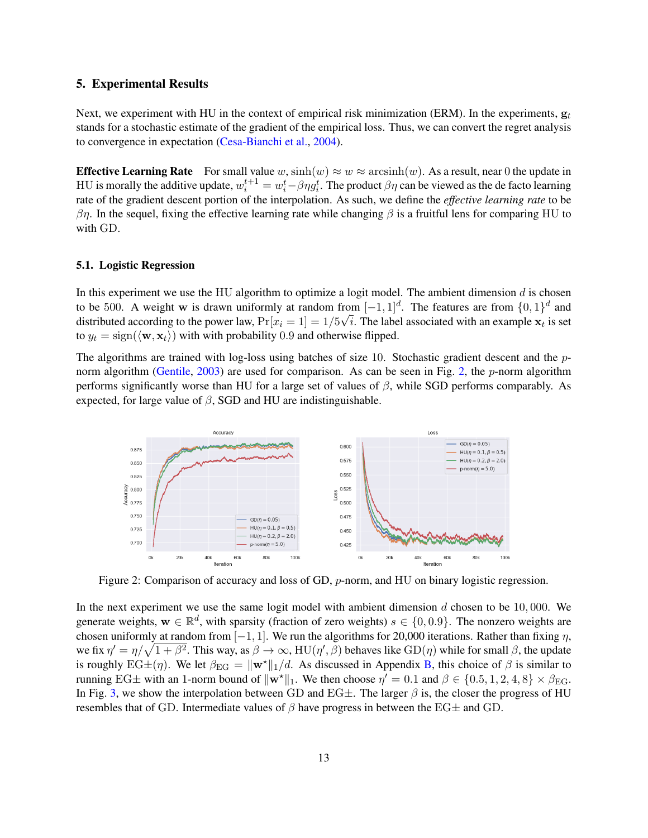### <span id="page-12-0"></span>5. Experimental Results

Next, we experiment with HU in the context of empirical risk minimization (ERM). In the experiments,  $g_t$ stands for a stochastic estimate of the gradient of the empirical loss. Thus, we can convert the regret analysis to convergence in expectation [\(Cesa-Bianchi et al.,](#page-16-12) [2004\)](#page-16-12).

**Effective Learning Rate** For small value w,  $\sinh(w) \approx w \approx \arcsinh(w)$ . As a result, near 0 the update in HU is morally the additive update,  $w_i^{t+1} = w_i^t - \beta \eta g_i^t$ . The product  $\beta \eta$  can be viewed as the de facto learning rate of the gradient descent portion of the interpolation. As such, we define the *effective learning rate* to be  $βη$ . In the sequel, fixing the effective learning rate while changing  $β$  is a fruitful lens for comparing HU to with GD.

#### 5.1. Logistic Regression

In this experiment we use the HU algorithm to optimize a logit model. The ambient dimension  $d$  is chosen to be 500. A weight w is drawn uniformly at random from  $[-1, 1]^d$ . The features are from  $\{0, 1\}^d$  and distributed according to the power law,  $\Pr[x_i = 1] = 1/5\sqrt{i}$ . The label associated with an example  $\mathbf{x}_t$  is set to  $y_t = sign(\langle \mathbf{w}, \mathbf{x}_t \rangle)$  with with probability 0.9 and otherwise flipped.

The algorithms are trained with log-loss using batches of size 10. Stochastic gradient descent and the pnorm algorithm [\(Gentile,](#page-16-4) [2003\)](#page-16-4) are used for comparison. As can be seen in Fig. [2,](#page-12-1) the p-norm algorithm performs significantly worse than HU for a large set of values of  $\beta$ , while SGD performs comparably. As expected, for large value of  $\beta$ , SGD and HU are indistinguishable.



<span id="page-12-1"></span>Figure 2: Comparison of accuracy and loss of GD, p-norm, and HU on binary logistic regression.

In the next experiment we use the same logit model with ambient dimension  $d$  chosen to be 10,000. We generate weights,  $w \in \mathbb{R}^d$ , with sparsity (fraction of zero weights)  $s \in \{0, 0.9\}$ . The nonzero weights are chosen uniformly at random from  $[-1, 1]$ . We run the algorithms for 20,000 iterations. Rather than fixing  $\eta$ , we fix  $\eta' = \eta/\sqrt{1+\beta^2}$ . This way, as  $\beta \to \infty$ , HU( $\eta', \beta$ ) behaves like  $GD(\eta)$  while for small  $\beta$ , the update is roughly  $EG\pm(\eta)$ . We let  $\beta_{EG} = ||\mathbf{w}^*||_1/d$ . As discussed in Appendix [B,](#page-19-0) this choice of  $\beta$  is similar to running EG $\pm$  with an 1-norm bound of  $\|\mathbf{w}^*\|_1$ . We then choose  $\eta' = 0.1$  and  $\beta \in \{0.5, 1, 2, 4, 8\} \times \beta_{\text{EG}}$ . In Fig. [3,](#page-13-0) we show the interpolation between GD and EG $\pm$ . The larger  $\beta$  is, the closer the progress of HU resembles that of GD. Intermediate values of  $\beta$  have progress in between the EG $\pm$  and GD.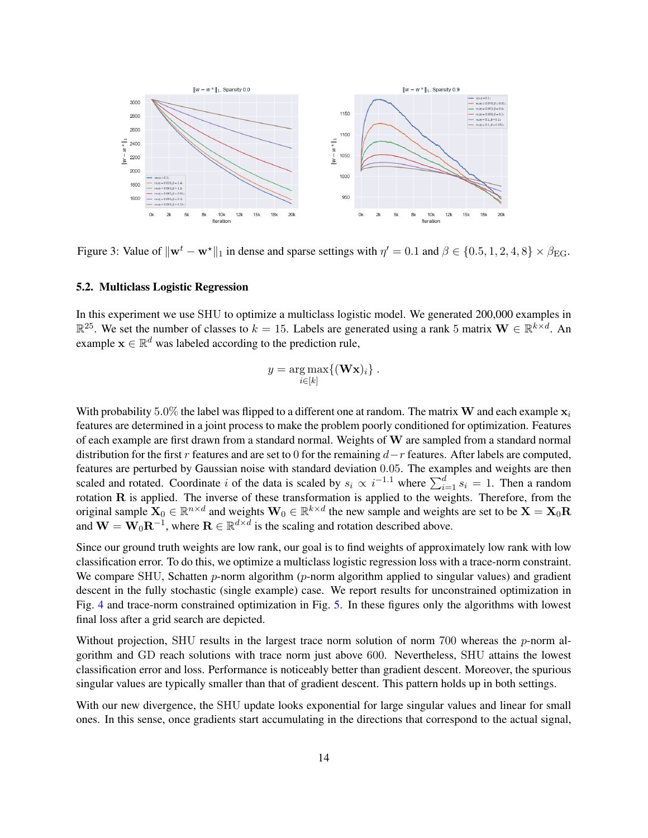

<span id="page-13-0"></span>Figure 3: Value of  $\|\mathbf{w}^t - \mathbf{w}^*\|_1$  in dense and sparse settings with  $\eta' = 0.1$  and  $\beta \in \{0.5, 1, 2, 4, 8\} \times \beta_{\text{EG}}$ .

### 5.2. Multiclass Logistic Regression

In this experiment we use SHU to optimize a multiclass logistic model. We generated 200,000 examples in  $\mathbb{R}^{25}$ . We set the number of classes to  $k = 15$ . Labels are generated using a rank 5 matrix  $\mathbf{W} \in \mathbb{R}^{k \times d}$ . An example  $\mathbf{x} \in \mathbb{R}^d$  was labeled according to the prediction rule,

$$
y = \underset{i \in [k]}{\arg \max} \{ (\mathbf{W} \mathbf{x})_i \} .
$$

With probability 5.0% the label was flipped to a different one at random. The matrix **W** and each example  $x_i$ features are determined in a joint process to make the problem poorly conditioned for optimization. Features of each example are first drawn from a standard normal. Weights of W are sampled from a standard normal distribution for the first r features and are set to 0 for the remaining  $d-r$  features. After labels are computed, features are perturbed by Gaussian noise with standard deviation 0.05. The examples and weights are then scaled and rotated. Coordinate i of the data is scaled by  $s_i \propto i^{-1.1}$  where  $\sum_{i=1}^{d} s_i = 1$ . Then a random rotation R is applied. The inverse of these transformation is applied to the weights. Therefore, from the original sample  $X_0 \in \mathbb{R}^{n \times d}$  and weights  $W_0 \in \mathbb{R}^{k \times d}$  the new sample and weights are set to be  $X = X_0R$ and  $\mathbf{W} = \mathbf{W}_0 \mathbf{R}^{-1}$ , where  $\mathbf{R} \in \mathbb{R}^{d \times d}$  is the scaling and rotation described above.

Since our ground truth weights are low rank, our goal is to find weights of approximately low rank with low classification error. To do this, we optimize a multiclass logistic regression loss with a trace-norm constraint. We compare SHU, Schatten  $p$ -norm algorithm ( $p$ -norm algorithm applied to singular values) and gradient descent in the fully stochastic (single example) case. We report results for unconstrained optimization in Fig. [4](#page-14-0) and trace-norm constrained optimization in Fig. [5.](#page-14-1) In these figures only the algorithms with lowest final loss after a grid search are depicted.

Without projection, SHU results in the largest trace norm solution of norm  $700$  whereas the p-norm algorithm and GD reach solutions with trace norm just above 600. Nevertheless, SHU attains the lowest classification error and loss. Performance is noticeably better than gradient descent. Moreover, the spurious singular values are typically smaller than that of gradient descent. This pattern holds up in both settings.

With our new divergence, the SHU update looks exponential for large singular values and linear for small ones. In this sense, once gradients start accumulating in the directions that correspond to the actual signal,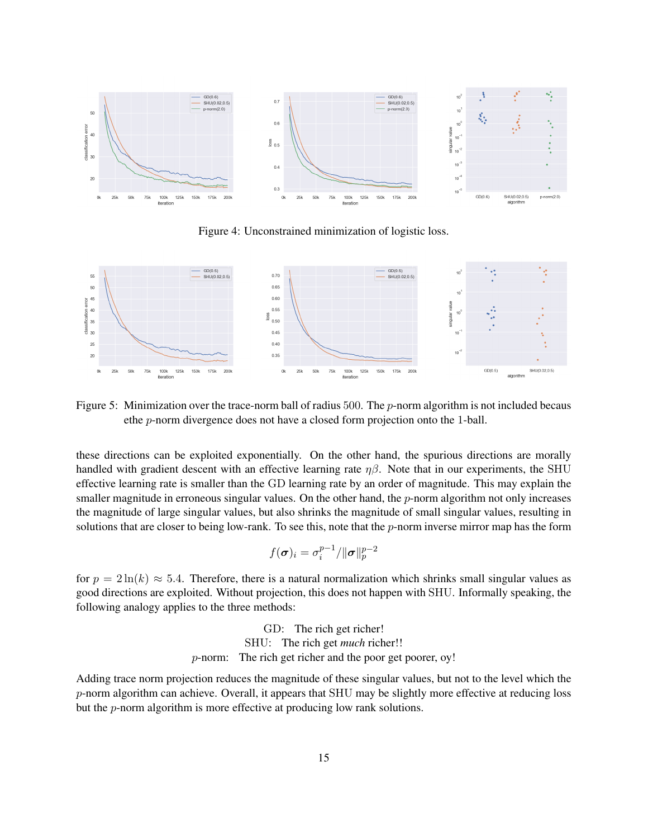

<span id="page-14-0"></span>Figure 4: Unconstrained minimization of logistic loss.



<span id="page-14-1"></span>Figure 5: Minimization over the trace-norm ball of radius 500. The  $p$ -norm algorithm is not included becaus ethe p-norm divergence does not have a closed form projection onto the 1-ball.

these directions can be exploited exponentially. On the other hand, the spurious directions are morally handled with gradient descent with an effective learning rate  $\eta\beta$ . Note that in our experiments, the SHU effective learning rate is smaller than the GD learning rate by an order of magnitude. This may explain the smaller magnitude in erroneous singular values. On the other hand, the  $p$ -norm algorithm not only increases the magnitude of large singular values, but also shrinks the magnitude of small singular values, resulting in solutions that are closer to being low-rank. To see this, note that the  $p$ -norm inverse mirror map has the form

$$
f(\boldsymbol{\sigma})_i = \sigma^{p-1}_i / \|\boldsymbol{\sigma}\|_p^{p-2}
$$

for  $p = 2 \ln(k) \approx 5.4$ . Therefore, there is a natural normalization which shrinks small singular values as good directions are exploited. Without projection, this does not happen with SHU. Informally speaking, the following analogy applies to the three methods:

> GD: The rich get richer! SHU: The rich get *much* richer!! p-norm: The rich get richer and the poor get poorer, oy!

Adding trace norm projection reduces the magnitude of these singular values, but not to the level which the  $p$ -norm algorithm can achieve. Overall, it appears that SHU may be slightly more effective at reducing loss but the p-norm algorithm is more effective at producing low rank solutions.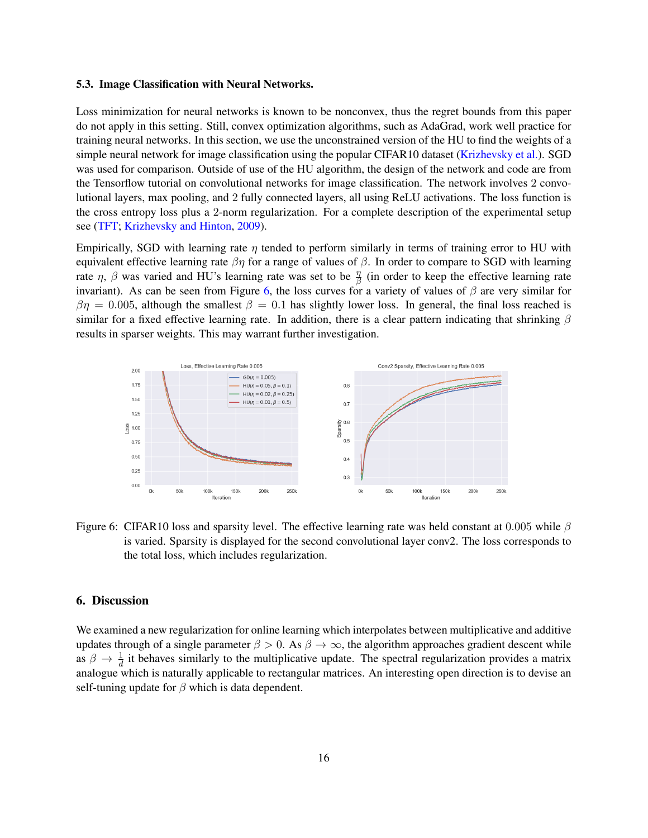#### 5.3. Image Classification with Neural Networks.

Loss minimization for neural networks is known to be nonconvex, thus the regret bounds from this paper do not apply in this setting. Still, convex optimization algorithms, such as AdaGrad, work well practice for training neural networks. In this section, we use the unconstrained version of the HU to find the weights of a simple neural network for image classification using the popular CIFAR10 dataset [\(Krizhevsky et al.\)](#page-16-13). SGD was used for comparison. Outside of use of the HU algorithm, the design of the network and code are from the Tensorflow tutorial on convolutional networks for image classification. The network involves 2 convolutional layers, max pooling, and 2 fully connected layers, all using ReLU activations. The loss function is the cross entropy loss plus a 2-norm regularization. For a complete description of the experimental setup see [\(TFT;](#page-16-14) [Krizhevsky and Hinton,](#page-16-15) [2009\)](#page-16-15).

Empirically, SGD with learning rate  $\eta$  tended to perform similarly in terms of training error to HU with equivalent effective learning rate  $\beta\eta$  for a range of values of  $\beta$ . In order to compare to SGD with learning rate  $\eta$ ,  $\beta$  was varied and HU's learning rate was set to be  $\frac{\eta}{\beta}$  (in order to keep the effective learning rate invariant). As can be seen from Figure [6,](#page-15-0) the loss curves for a variety of values of  $\beta$  are very similar for  $\beta \eta = 0.005$ , although the smallest  $\beta = 0.1$  has slightly lower loss. In general, the final loss reached is similar for a fixed effective learning rate. In addition, there is a clear pattern indicating that shrinking  $\beta$ results in sparser weights. This may warrant further investigation.



<span id="page-15-0"></span>Figure 6: CIFAR10 loss and sparsity level. The effective learning rate was held constant at 0.005 while  $\beta$ is varied. Sparsity is displayed for the second convolutional layer conv2. The loss corresponds to the total loss, which includes regularization.

### 6. Discussion

We examined a new regularization for online learning which interpolates between multiplicative and additive updates through of a single parameter  $\beta > 0$ . As  $\beta \to \infty$ , the algorithm approaches gradient descent while as  $\beta \to \frac{1}{d}$  it behaves similarly to the multiplicative update. The spectral regularization provides a matrix analogue which is naturally applicable to rectangular matrices. An interesting open direction is to devise an self-tuning update for  $\beta$  which is data dependent.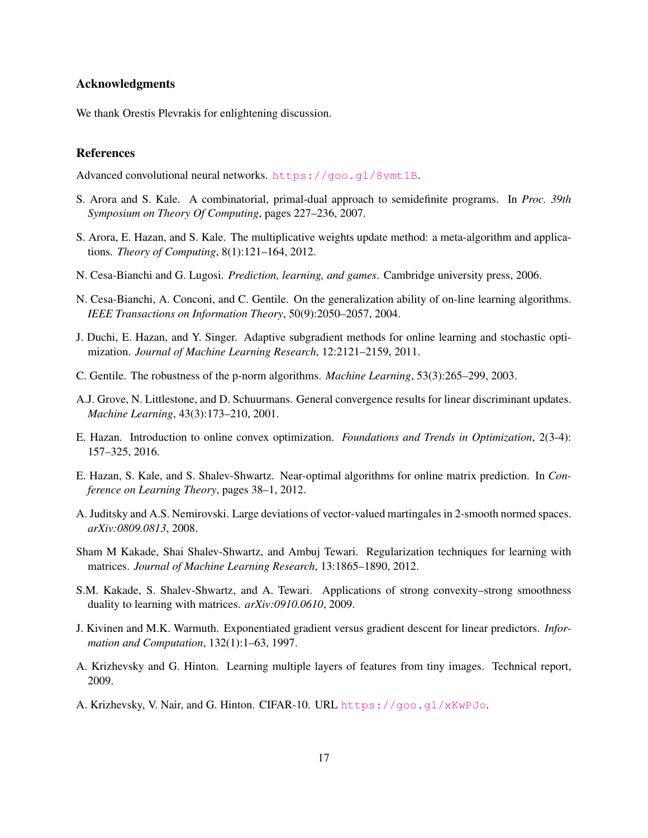### Acknowledgments

We thank Orestis Plevrakis for enlightening discussion.

## References

<span id="page-16-14"></span>Advanced convolutional neural networks. <https://goo.gl/8vmt1B>.

- <span id="page-16-5"></span>S. Arora and S. Kale. A combinatorial, primal-dual approach to semidefinite programs. In *Proc. 39th Symposium on Theory Of Computing*, pages 227–236, 2007.
- <span id="page-16-0"></span>S. Arora, E. Hazan, and S. Kale. The multiplicative weights update method: a meta-algorithm and applications. *Theory of Computing*, 8(1):121–164, 2012.
- <span id="page-16-8"></span>N. Cesa-Bianchi and G. Lugosi. *Prediction, learning, and games*. Cambridge university press, 2006.
- <span id="page-16-12"></span>N. Cesa-Bianchi, A. Conconi, and C. Gentile. On the generalization ability of on-line learning algorithms. *IEEE Transactions on Information Theory*, 50(9):2050–2057, 2004.
- <span id="page-16-2"></span>J. Duchi, E. Hazan, and Y. Singer. Adaptive subgradient methods for online learning and stochastic optimization. *Journal of Machine Learning Research*, 12:2121–2159, 2011.
- <span id="page-16-4"></span>C. Gentile. The robustness of the p-norm algorithms. *Machine Learning*, 53(3):265–299, 2003.
- <span id="page-16-3"></span>A.J. Grove, N. Littlestone, and D. Schuurmans. General convergence results for linear discriminant updates. *Machine Learning*, 43(3):173–210, 2001.
- <span id="page-16-9"></span>E. Hazan. Introduction to online convex optimization. *Foundations and Trends in Optimization*, 2(3-4): 157–325, 2016.
- <span id="page-16-6"></span>E. Hazan, S. Kale, and S. Shalev-Shwartz. Near-optimal algorithms for online matrix prediction. In *Conference on Learning Theory*, pages 38–1, 2012.
- <span id="page-16-11"></span>A. Juditsky and A.S. Nemirovski. Large deviations of vector-valued martingales in 2-smooth normed spaces. *arXiv:0809.0813*, 2008.
- <span id="page-16-7"></span>Sham M Kakade, Shai Shalev-Shwartz, and Ambuj Tewari. Regularization techniques for learning with matrices. *Journal of Machine Learning Research*, 13:1865–1890, 2012.
- <span id="page-16-10"></span>S.M. Kakade, S. Shalev-Shwartz, and A. Tewari. Applications of strong convexity–strong smoothness duality to learning with matrices. *arXiv:0910.0610*, 2009.
- <span id="page-16-1"></span>J. Kivinen and M.K. Warmuth. Exponentiated gradient versus gradient descent for linear predictors. *Information and Computation*, 132(1):1–63, 1997.
- <span id="page-16-15"></span>A. Krizhevsky and G. Hinton. Learning multiple layers of features from tiny images. Technical report, 2009.
- <span id="page-16-13"></span>A. Krizhevsky, V. Nair, and G. Hinton. CIFAR-10. URL <https://goo.gl/xKwPJo>.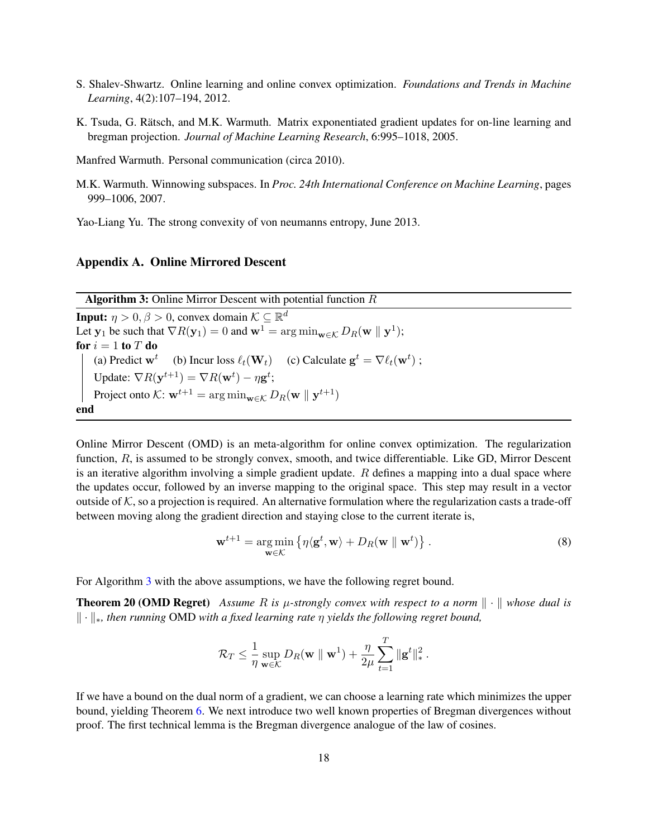- <span id="page-17-4"></span>S. Shalev-Shwartz. Online learning and online convex optimization. *Foundations and Trends in Machine Learning*, 4(2):107–194, 2012.
- <span id="page-17-1"></span>K. Tsuda, G. Rätsch, and M.K. Warmuth. Matrix exponentiated gradient updates for on-line learning and bregman projection. *Journal of Machine Learning Research*, 6:995–1018, 2005.

<span id="page-17-0"></span>Manfred Warmuth. Personal communication (circa 2010).

<span id="page-17-2"></span>M.K. Warmuth. Winnowing subspaces. In *Proc. 24th International Conference on Machine Learning*, pages 999–1006, 2007.

<span id="page-17-5"></span>Yao-Liang Yu. The strong convexity of von neumanns entropy, June 2013.

## <span id="page-17-7"></span><span id="page-17-3"></span>Appendix A. Online Mirrored Descent

**Algorithm 3:** Online Mirror Descent with potential function  $R$ 

**Input:**  $\eta > 0, \beta > 0$ , convex domain  $\mathcal{K} \subseteq \mathbb{R}^d$ Let  $y_1$  be such that  $\nabla R(y_1) = 0$  and  $\mathbf{w}^1 = \arg \min_{\mathbf{w} \in \mathcal{K}} D_R(\mathbf{w} \parallel \mathbf{y}^1);$ for  $i = 1$  to  $T$  do (a) Predict  $\mathbf{w}^t$  (b) Incur loss  $\ell_t(\mathbf{W}_t)$  (c) Calculate  $\mathbf{g}^t = \nabla \ell_t(\mathbf{w}^t)$ ; Update:  $\nabla R(\mathbf{y}^{t+1}) = \nabla R(\mathbf{w}^t) - \eta \mathbf{g}^t;$ Project onto  $\mathcal{K}: \mathbf{w}^{t+1} = \arg \min_{\mathbf{w} \in \mathcal{K}} D_R(\mathbf{w} \parallel \mathbf{y}^{t+1})$ end

Online Mirror Descent (OMD) is an meta-algorithm for online convex optimization. The regularization function, R, is assumed to be strongly convex, smooth, and twice differentiable. Like GD, Mirror Descent is an iterative algorithm involving a simple gradient update.  $R$  defines a mapping into a dual space where the updates occur, followed by an inverse mapping to the original space. This step may result in a vector outside of  $K$ , so a projection is required. An alternative formulation where the regularization casts a trade-off between moving along the gradient direction and staying close to the current iterate is,

<span id="page-17-6"></span>
$$
\mathbf{w}^{t+1} = \underset{\mathbf{w} \in \mathcal{K}}{\arg \min} \left\{ \eta \langle \mathbf{g}^t, \mathbf{w} \rangle + D_R(\mathbf{w} \parallel \mathbf{w}^t) \right\}. \tag{8}
$$

For Algorithm [3](#page-17-7) with the above assumptions, we have the following regret bound.

**Theorem 20 (OMD Regret)** Assume R is  $\mu$ -strongly convex with respect to a norm  $\|\cdot\|$  whose dual is k · k∗*, then running* OMD *with a fixed learning rate* η *yields the following regret bound,*

<span id="page-17-8"></span>
$$
\mathcal{R}_T \leq \frac{1}{\eta}\sup_{\mathbf{w}\in\mathcal{K}} D_R(\mathbf{w} \parallel \mathbf{w}^1) + \frac{\eta}{2\mu}\sum_{t=1}^T \|\mathbf{g}^t\|_*^2.
$$

If we have a bound on the dual norm of a gradient, we can choose a learning rate which minimizes the upper bound, yielding Theorem [6.](#page-5-1) We next introduce two well known properties of Bregman divergences without proof. The first technical lemma is the Bregman divergence analogue of the law of cosines.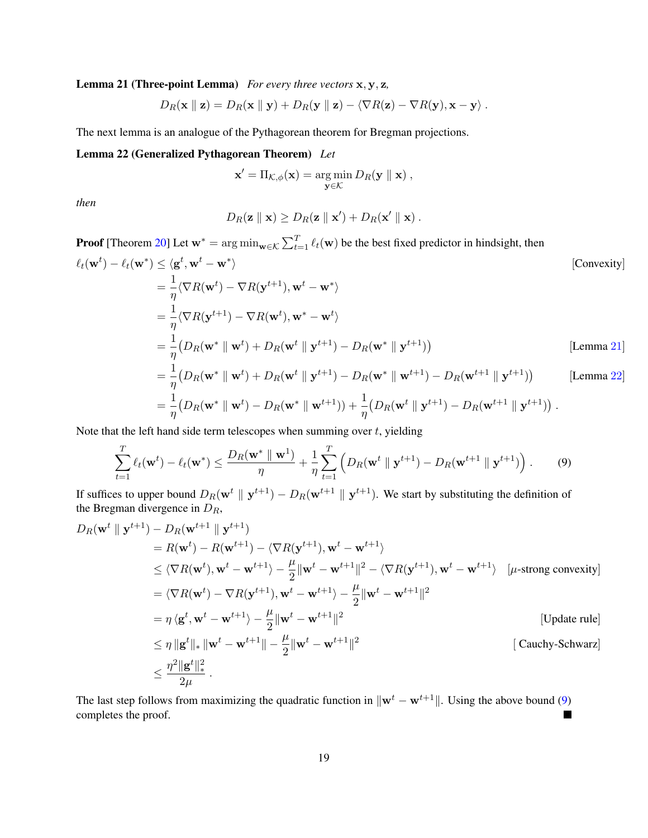Lemma 21 (Three-point Lemma) *For every three vectors* x, y, z*,*

$$
D_R(\mathbf{x} \parallel \mathbf{z}) = D_R(\mathbf{x} \parallel \mathbf{y}) + D_R(\mathbf{y} \parallel \mathbf{z}) - \langle \nabla R(\mathbf{z}) - \nabla R(\mathbf{y}), \mathbf{x} - \mathbf{y} \rangle.
$$

The next lemma is an analogue of the Pythagorean theorem for Bregman projections.

### Lemma 22 (Generalized Pythagorean Theorem) *Let*

<span id="page-18-0"></span>
$$
\mathbf{x}' = \Pi_{\mathcal{K},\phi}(\mathbf{x}) = \underset{\mathbf{y}\in\mathcal{K}}{\arg\min} D_R(\mathbf{y} \parallel \mathbf{x}),
$$

*then*

<span id="page-18-1"></span>
$$
D_R(\mathbf{z} \parallel \mathbf{x}) \geq D_R(\mathbf{z} \parallel \mathbf{x}') + D_R(\mathbf{x}' \parallel \mathbf{x}) .
$$

**Proof** [Theorem [20\]](#page-17-6) Let  $w^* = \arg \min_{w \in \mathcal{K}} \sum_{t=1}^T \ell_t(w)$  be the best fixed predictor in hindsight, then  $\ell_t(\mathbf{w}^t) - \ell_t(\mathbf{w}^*) \leq \langle \mathbf{g}^t, \mathbf{w}^t - \mathbf{w}^*$ [Convexity]  $=$  $\frac{1}{1}$  $\frac{1}{\eta}\langle \nabla R(\mathbf{w}^t) - \nabla R(\mathbf{y}^{t+1}), \mathbf{w}^t - \mathbf{w}^*\rangle$  $=$  $\frac{1}{1}$  $\frac{1}{\eta}\langle \nabla R(\mathbf{y}^{t+1}) - \nabla R(\mathbf{w}^t),\mathbf{w}^* - \mathbf{w}^t \rangle$  $=$  $\frac{1}{1}$ η  $(D_R(\mathbf{w}^* \parallel \mathbf{w}^t) + D_R(\mathbf{w}^t \parallel \mathbf{y}^{t+1}) - D_R(\mathbf{w}^* \parallel \mathbf{y}^{t+1}))$ [Lemma [21\]](#page-17-8)  $=$  $\frac{1}{1}$ η  $(D_R(\mathbf{w}^* \parallel \mathbf{w}^t) + D_R(\mathbf{w}^t \parallel \mathbf{y}^{t+1}) - D_R(\mathbf{w}^* \parallel \mathbf{w}^{t+1}) - D_R(\mathbf{w}^{t+1} \parallel \mathbf{y}^{t+1}))$ [Lemma [22\]](#page-18-0)  $=$  $\frac{1}{1}$ η  $\big(D_R(\mathbf{w}^* \parallel \mathbf{w}^t) - D_R(\mathbf{w}^* \parallel \mathbf{w}^{t+1})) + \frac{1}{\eta}$  $(D_R(\mathbf{w}^{t} \parallel \mathbf{y}^{t+1}) - D_R(\mathbf{w}^{t+1} \parallel \mathbf{y}^{t+1}))$ .

Note that the left hand side term telescopes when summing over  $t$ , yielding

$$
\sum_{t=1}^T \ell_t(\mathbf{w}^t) - \ell_t(\mathbf{w}^*) \le \frac{D_R(\mathbf{w}^* \parallel \mathbf{w}^1)}{\eta} + \frac{1}{\eta} \sum_{t=1}^T \left( D_R(\mathbf{w}^t \parallel \mathbf{y}^{t+1}) - D_R(\mathbf{w}^{t+1} \parallel \mathbf{y}^{t+1}) \right). \tag{9}
$$

If suffices to upper bound  $D_R(\mathbf{w}^t \parallel \mathbf{y}^{t+1}) - D_R(\mathbf{w}^{t+1} \parallel \mathbf{y}^{t+1})$ . We start by substituting the definition of the Bregman divergence in  $D_R$ ,

$$
D_R(\mathbf{w}^{t} \parallel \mathbf{y}^{t+1}) - D_R(\mathbf{w}^{t+1} \parallel \mathbf{y}^{t+1})
$$
  
\n
$$
= R(\mathbf{w}^{t}) - R(\mathbf{w}^{t+1}) - \langle \nabla R(\mathbf{y}^{t+1}), \mathbf{w}^{t} - \mathbf{w}^{t+1} \rangle
$$
  
\n
$$
\leq \langle \nabla R(\mathbf{w}^{t}), \mathbf{w}^{t} - \mathbf{w}^{t+1} \rangle - \frac{\mu}{2} ||\mathbf{w}^{t} - \mathbf{w}^{t+1}||^{2} - \langle \nabla R(\mathbf{y}^{t+1}), \mathbf{w}^{t} - \mathbf{w}^{t+1} \rangle \quad [\mu\text{-strong convexity}]
$$
  
\n
$$
= \langle \nabla R(\mathbf{w}^{t}) - \nabla R(\mathbf{y}^{t+1}), \mathbf{w}^{t} - \mathbf{w}^{t+1} \rangle - \frac{\mu}{2} ||\mathbf{w}^{t} - \mathbf{w}^{t+1}||^{2}
$$
  
\n
$$
= \eta \langle \mathbf{g}^{t}, \mathbf{w}^{t} - \mathbf{w}^{t+1} \rangle - \frac{\mu}{2} ||\mathbf{w}^{t} - \mathbf{w}^{t+1}||^{2}
$$
  
\n
$$
\leq \eta ||\mathbf{g}^{t}||_{*} ||\mathbf{w}^{t} - \mathbf{w}^{t+1}|| - \frac{\mu}{2} ||\mathbf{w}^{t} - \mathbf{w}^{t+1}||^{2}
$$
  
\n[Cauchy-Schwarz]  
\n
$$
\leq \frac{\eta^{2} ||\mathbf{g}^{t}||_{*}^{2}}{2\mu}.
$$

The last step follows from maximizing the quadratic function in  $\|\mathbf{w}^t - \mathbf{w}^{t+1}\|$ . Using the above bound [\(9\)](#page-18-1) completes the proof.  $\blacksquare$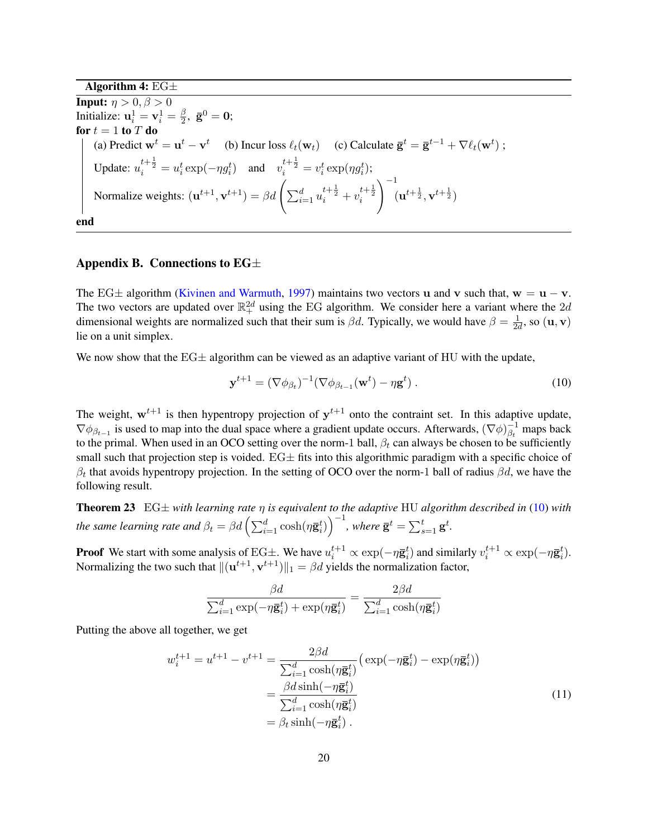Algorithm 4:  $EG\pm$ **Input:**  $\eta > 0, \beta > 0$ Initialize:  $\mathbf{u}_i^1 = \mathbf{v}_i^1 = \frac{\beta}{2}$  $\frac{\beta}{2}$ ,  $\bar{\mathbf{g}}^0 = \mathbf{0}$ ; for  $t = 1$  to  $T$  do (a) Predict  $\mathbf{w}^t = \mathbf{u}^t - \mathbf{v}^t$  (b) Incur loss  $\ell_t(\mathbf{w}_t)$  (c) Calculate  $\bar{\mathbf{g}}^t = \bar{\mathbf{g}}^{t-1} + \nabla \ell_t(\mathbf{w}^t)$ ; Update:  $u_i^{t+\frac{1}{2}} = u_i^t \exp(-\eta g_i^t)$  and  $v_i^{t+\frac{1}{2}} = v_i^t \exp(\eta g_i^t)$ ; Normalize weights:  $(\mathbf{u}^{t+1}, \mathbf{v}^{t+1}) = \beta d \left( \sum_{i=1}^{d} u_i^{t+\frac{1}{2}} + v_i^{t+\frac{1}{2}} \right)$  $\setminus$ <sup>-1</sup>  $({\bf u}^{t+{1\over 2}},{\bf v}^{t+{1\over 2}})$ end

### <span id="page-19-0"></span>Appendix B. Connections to  $EG\pm$

The EG $\pm$  algorithm [\(Kivinen and Warmuth,](#page-16-1) [1997\)](#page-16-1) maintains two vectors u and v such that,  $w = u - v$ . The two vectors are updated over  $\mathbb{R}^{2d}_+$  using the EG algorithm. We consider here a variant where the  $2d$ dimensional weights are normalized such that their sum is  $\beta d$ . Typically, we would have  $\beta = \frac{1}{2d}$  $\frac{1}{2d}$ , so  $(\mathbf{u}, \mathbf{v})$ lie on a unit simplex.

We now show that the  $EG\pm$  algorithm can be viewed as an adaptive variant of HU with the update,

<span id="page-19-1"></span>
$$
\mathbf{y}^{t+1} = (\nabla \phi_{\beta_t})^{-1} (\nabla \phi_{\beta_{t-1}}(\mathbf{w}^t) - \eta \mathbf{g}^t) . \tag{10}
$$

The weight,  $w^{t+1}$  is then hypentropy projection of  $y^{t+1}$  onto the contraint set. In this adaptive update,  $\nabla \phi_{\beta_{t-1}}$  is used to map into the dual space where a gradient update occurs. Afterwards,  $(\nabla \phi)_{\beta_t}^{-1}$  $\overline{\beta_t}^1$  maps back to the primal. When used in an OCO setting over the norm-1 ball,  $\beta_t$  can always be chosen to be sufficiently small such that projection step is voided.  $EG\pm$  fits into this algorithmic paradigm with a specific choice of  $\beta_t$  that avoids hypentropy projection. In the setting of OCO over the norm-1 ball of radius  $\beta d$ , we have the following result.

<span id="page-19-2"></span>Theorem 23 EG± *with learning rate* η *is equivalent to the adaptive* HU *algorithm described in* [\(10\)](#page-19-1) *with the same learning rate and*  $\beta_t = \beta d \left( \sum_{i=1}^d \cosh(\eta \bar{\mathbf{g}}_i^t) \right)^{-1}$ , where  $\bar{\mathbf{g}}^t = \sum_{s=1}^t \mathbf{g}^t$ .

**Proof** We start with some analysis of EG $\pm$ . We have  $u_i^{t+1} \propto \exp(-\eta \bar{\mathbf{g}}_i^t)$  and similarly  $v_i^{t+1} \propto \exp(-\eta \bar{\mathbf{g}}_i^t)$ . Normalizing the two such that  $\|({\bf u}^{t+1},{\bf v}^{t+1})\|_1 = \beta d$  yields the normalization factor,

<span id="page-19-3"></span>
$$
\frac{\beta d}{\sum_{i=1}^{d}\exp(-\eta \mathbf{\bar{g}}_{i}^{t}) + \exp(\eta \mathbf{\bar{g}}_{i}^{t})} = \frac{2\beta d}{\sum_{i=1}^{d}\cosh(\eta \mathbf{\bar{g}}_{i}^{t})}
$$

Putting the above all together, we get

$$
w_i^{t+1} = u^{t+1} - v^{t+1} = \frac{2\beta d}{\sum_{i=1}^d \cosh(\eta \mathbf{\bar{g}}_i^t)} \left( \exp(-\eta \mathbf{\bar{g}}_i^t) - \exp(\eta \mathbf{\bar{g}}_i^t) \right)
$$
  

$$
= \frac{\beta d \sinh(-\eta \mathbf{\bar{g}}_i^t)}{\sum_{i=1}^d \cosh(\eta \mathbf{\bar{g}}_i^t)}
$$
  

$$
= \beta_t \sinh(-\eta \mathbf{\bar{g}}_i^t).
$$
 (11)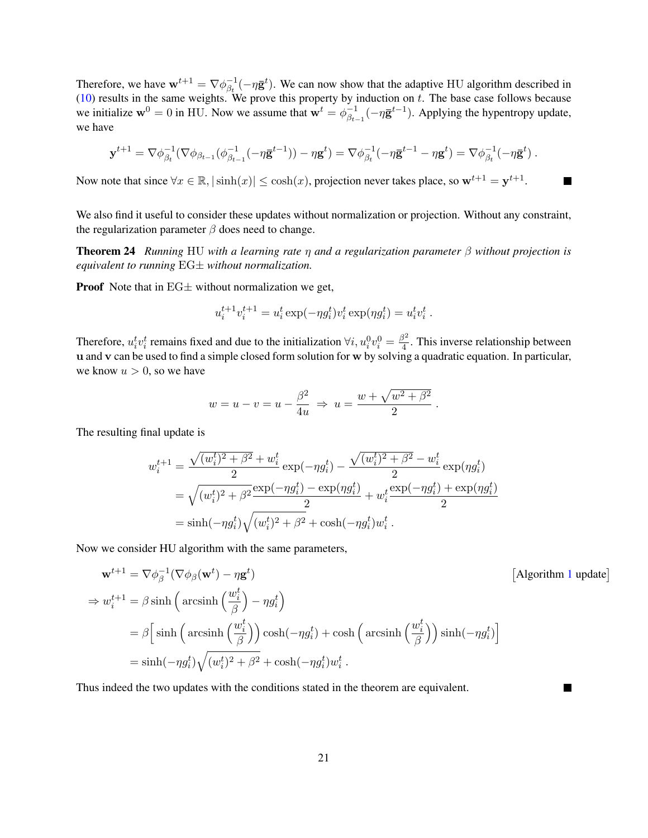Therefore, we have  $\mathbf{w}^{t+1} = \nabla \phi_{\beta_t}^{-1}$  $\bar{\beta}_{\beta t}^{-1}(-\eta \bar{\mathbf{g}}^t)$ . We can now show that the adaptive HU algorithm described in  $(10)$  results in the same weights. We prove this property by induction on t. The base case follows because we initialize  $\mathbf{w}^0 = 0$  in HU. Now we assume that  $\mathbf{w}^t = \phi_{\beta_t}^{-1}$ .  $\frac{1}{\beta_{t-1}}(-\eta \bar{\mathbf{g}}^{t-1})$ . Applying the hypentropy update, we have

$$
\mathbf{y}^{t+1} = \nabla \phi_{\beta_t}^{-1} (\nabla \phi_{\beta_{t-1}} (\phi_{\beta_{t-1}}^{-1} (- \eta \mathbf{g}^{t-1})) - \eta \mathbf{g}^t) = \nabla \phi_{\beta_t}^{-1} (- \eta \mathbf{g}^{t-1} - \eta \mathbf{g}^t) = \nabla \phi_{\beta_t}^{-1} (- \eta \mathbf{g}^t) .
$$

Now note that since  $\forall x \in \mathbb{R}, |\sinh(x)| \leq \cosh(x)$ , projection never takes place, so  $\mathbf{w}^{t+1} = \mathbf{y}^{t+1}$ . **The Second** 

We also find it useful to consider these updates without normalization or projection. Without any constraint, the regularization parameter  $\beta$  does need to change.

Theorem 24 *Running* HU *with a learning rate* η *and a regularization parameter* β *without projection is equivalent to running* EG± *without normalization.*

**Proof** Note that in  $EG\pm$  without normalization we get,

$$
u_i^{t+1}v_i^{t+1} = u_i^t \exp(-\eta g_i^t)v_i^t \exp(\eta g_i^t) = u_i^t v_i^t.
$$

Therefore,  $u_i^t v_i^t$  remains fixed and due to the initialization  $\forall i, u_i^0 v_i^0 = \frac{\beta^2}{4}$  $\frac{5}{4}$ . This inverse relationship between u and v can be used to find a simple closed form solution for w by solving a quadratic equation. In particular, we know  $u > 0$ , so we have

$$
w = u - v = u - \frac{\beta^2}{4u} \Rightarrow u = \frac{w + \sqrt{w^2 + \beta^2}}{2}.
$$

The resulting final update is

$$
w_i^{t+1} = \frac{\sqrt{(w_i^t)^2 + \beta^2} + w_i^t}{2} \exp(-\eta g_i^t) - \frac{\sqrt{(w_i^t)^2 + \beta^2} - w_i^t}{2} \exp(\eta g_i^t)
$$
  
=  $\sqrt{(w_i^t)^2 + \beta^2} \frac{\exp(-\eta g_i^t) - \exp(\eta g_i^t)}{2} + w_i^t \frac{\exp(-\eta g_i^t) + \exp(\eta g_i^t)}{2}$   
=  $\sinh(-\eta g_i^t) \sqrt{(w_i^t)^2 + \beta^2} + \cosh(-\eta g_i^t) w_i^t$ .

Now we consider HU algorithm with the same parameters,

$$
\mathbf{w}^{t+1} = \nabla \phi_{\beta}^{-1} (\nabla \phi_{\beta}(\mathbf{w}^t) - \eta \mathbf{g}^t)
$$
\n
$$
\Rightarrow w_i^{t+1} = \beta \sinh \left( \arcsin \left( \frac{w_i^t}{\beta} \right) - \eta g_i^t \right)
$$
\n
$$
= \beta \left[ \sinh \left( \arcsin \left( \frac{w_i^t}{\beta} \right) \right) \cosh(-\eta g_i^t) + \cosh \left( \arcsin \left( \frac{w_i^t}{\beta} \right) \right) \sinh(-\eta g_i^t) \right]
$$
\n
$$
= \sinh(-\eta g_i^t) \sqrt{(w_i^t)^2 + \beta^2} + \cosh(-\eta g_i^t) w_i^t.
$$
\n(Algorithm 1 update)

 $\overline{\phantom{a}}$ 

Thus indeed the two updates with the conditions stated in the theorem are equivalent.